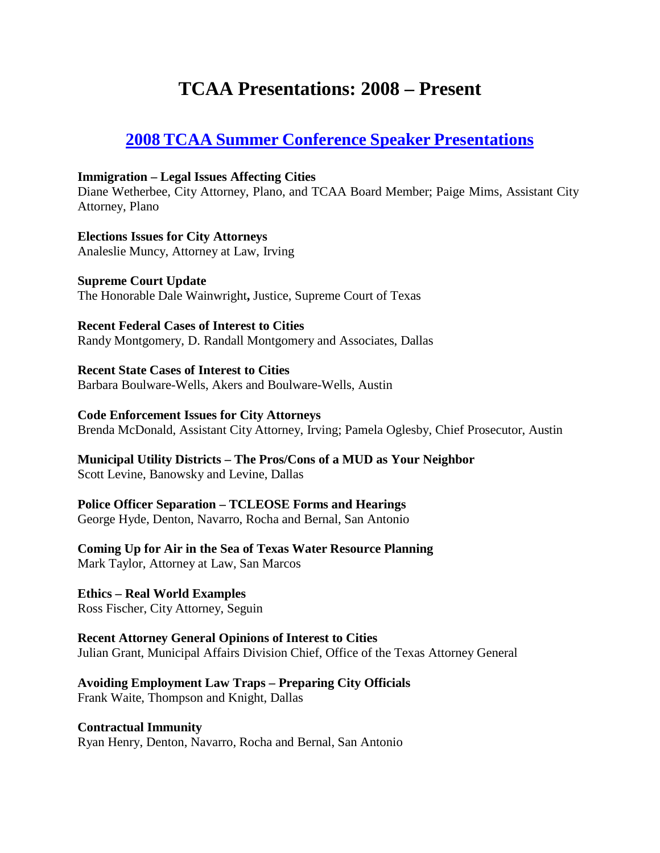# **TCAA Presentations: 2008 – Present**

# **2008 TCAA Summer Conference Speaker [Presentations](https://texascityattorneys.org/181-2/)**

#### **Immigration – Legal Issues Affecting Cities**

Diane Wetherbee, City Attorney, Plano, and TCAA Board Member; Paige Mims, Assistant City Attorney, Plano

**Elections Issues for City Attorneys** Analeslie Muncy, Attorney at Law, Irving

**Supreme Court Update** The Honorable Dale Wainwright**,** Justice, Supreme Court of Texas

**Recent Federal Cases of Interest to Cities** Randy Montgomery, D. Randall Montgomery and Associates, Dallas

**Recent State Cases of Interest to Cities** Barbara Boulware-Wells, Akers and Boulware-Wells, Austin

#### **Code Enforcement Issues for City Attorneys**

Brenda McDonald, Assistant City Attorney, Irving; Pamela Oglesby, Chief Prosecutor, Austin

**Municipal Utility Districts – The Pros/Cons of a MUD as Your Neighbor** Scott Levine, Banowsky and Levine, Dallas

# **Police Officer Separation – TCLEOSE Forms and Hearings**

George Hyde, Denton, Navarro, Rocha and Bernal, San Antonio

**Coming Up for Air in the Sea of Texas Water Resource Planning** Mark Taylor, Attorney at Law, San Marcos

**Ethics – Real World Examples** Ross Fischer, City Attorney, Seguin

**Recent Attorney General Opinions of Interest to Cities** Julian Grant, Municipal Affairs Division Chief, Office of the Texas Attorney General

**Avoiding Employment Law Traps – Preparing City Officials** Frank Waite, Thompson and Knight, Dallas

**Contractual Immunity** Ryan Henry, Denton, Navarro, Rocha and Bernal, San Antonio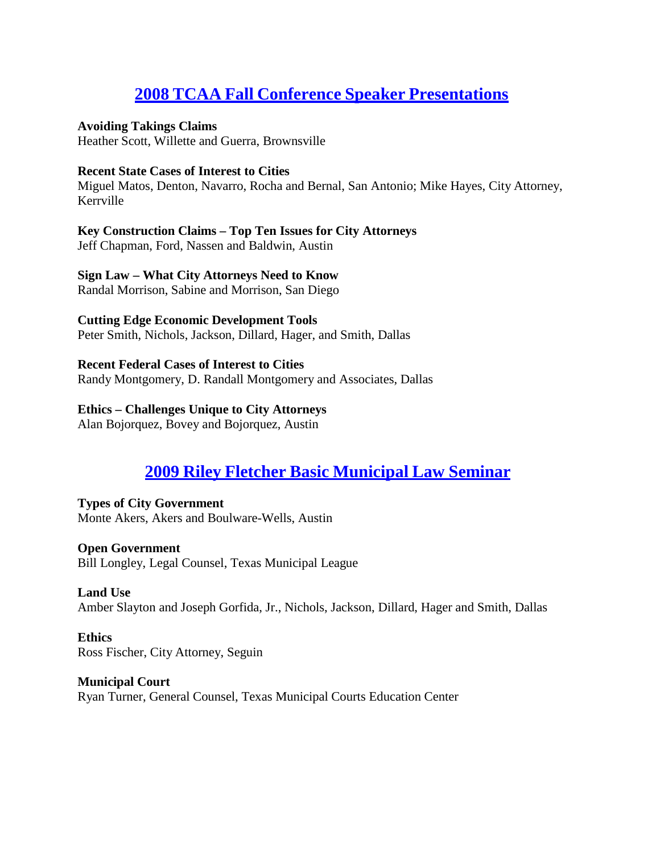# **2008 TCAA Fall Conference Speaker [Presentations](https://texascityattorneys.org/2008-tcaa-fall-conference-speaker-papers/)**

### **Avoiding Takings Claims**

Heather Scott, Willette and Guerra, Brownsville

### **Recent State Cases of Interest to Cities**

Miguel Matos, Denton, Navarro, Rocha and Bernal, San Antonio; Mike Hayes, City Attorney, Kerrville

# **Key Construction Claims – Top Ten Issues for City Attorneys**

Jeff Chapman, Ford, Nassen and Baldwin, Austin

# **Sign Law – What City Attorneys Need to Know**

Randal Morrison, Sabine and Morrison, San Diego

# **Cutting Edge Economic Development Tools**

Peter Smith, Nichols, Jackson, Dillard, Hager, and Smith, Dallas

# **Recent Federal Cases of Interest to Cities**

Randy Montgomery, D. Randall Montgomery and Associates, Dallas

# **Ethics – Challenges Unique to City Attorneys**

Alan Bojorquez, Bovey and Bojorquez, Austin

# **2009 Riley Fletcher Basic [Municipal](https://texascityattorneys.org/2009-riley-fletcher-basic-municipal-law-seminar-speaker-papers/) Law Seminar**

# **Types of City Government** Monte Akers, Akers and Boulware-Wells, Austin

**Open Government** Bill Longley, Legal Counsel, Texas Municipal League

# **Land Use**

Amber Slayton and Joseph Gorfida, Jr., Nichols, Jackson, Dillard, Hager and Smith, Dallas

#### **Ethics** Ross Fischer, City Attorney, Seguin

**Municipal Court** Ryan Turner, General Counsel, Texas Municipal Courts Education Center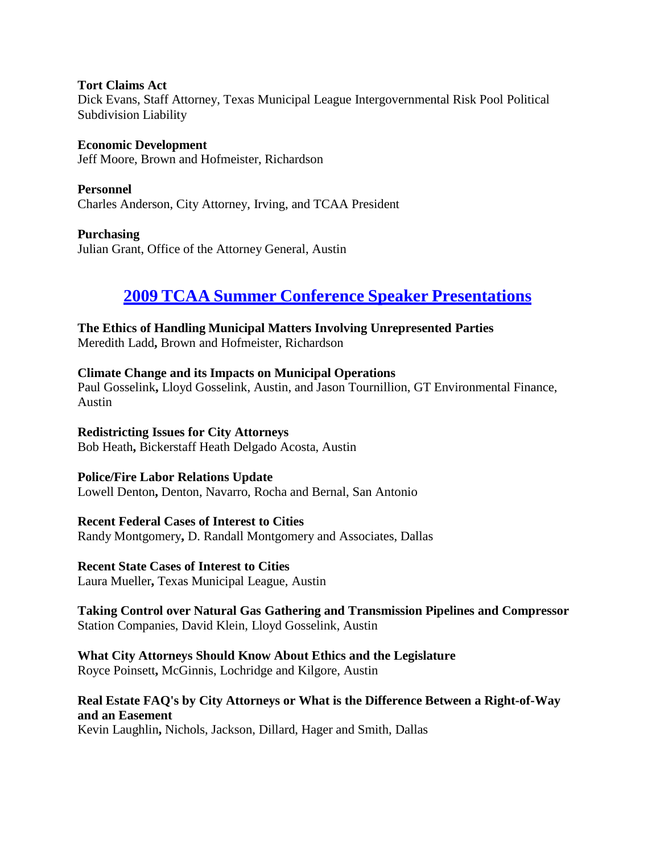**Tort Claims Act** Dick Evans, Staff Attorney, Texas Municipal League Intergovernmental Risk Pool Political Subdivision Liability

**Economic Development** Jeff Moore, Brown and Hofmeister, Richardson

**Personnel** Charles Anderson, City Attorney, Irving, and TCAA President

**Purchasing** Julian Grant, Office of the Attorney General, Austin

# **2009 TCAA Summer Conference Speaker [Presentations](https://texascityattorneys.org/2009-tcaa-summer-conference-speaker-papers/)**

**The Ethics of Handling Municipal Matters Involving Unrepresented Parties**

Meredith Ladd**,** Brown and Hofmeister, Richardson

# **Climate Change and its Impacts on Municipal Operations**

Paul Gosselink**,** Lloyd Gosselink, Austin, and Jason Tournillion, GT Environmental Finance, Austin

# **Redistricting Issues for City Attorneys**

Bob Heath**,** Bickerstaff Heath Delgado Acosta, Austin

# **Police/Fire Labor Relations Update**

Lowell Denton**,** Denton, Navarro, Rocha and Bernal, San Antonio

# **Recent Federal Cases of Interest to Cities**

Randy Montgomery**,** D. Randall Montgomery and Associates, Dallas

# **Recent State Cases of Interest to Cities**

Laura Mueller**,** Texas Municipal League, Austin

# **Taking Control over Natural Gas Gathering and Transmission Pipelines and Compressor** Station Companies, David Klein, Lloyd Gosselink, Austin

# **What City Attorneys Should Know About Ethics and the Legislature**

Royce Poinsett**,** McGinnis, Lochridge and Kilgore, Austin

# **Real Estate FAQ's by City Attorneys or What is the Difference Between a Right-of-Way and an Easement**

Kevin Laughlin**,** Nichols, Jackson, Dillard, Hager and Smith, Dallas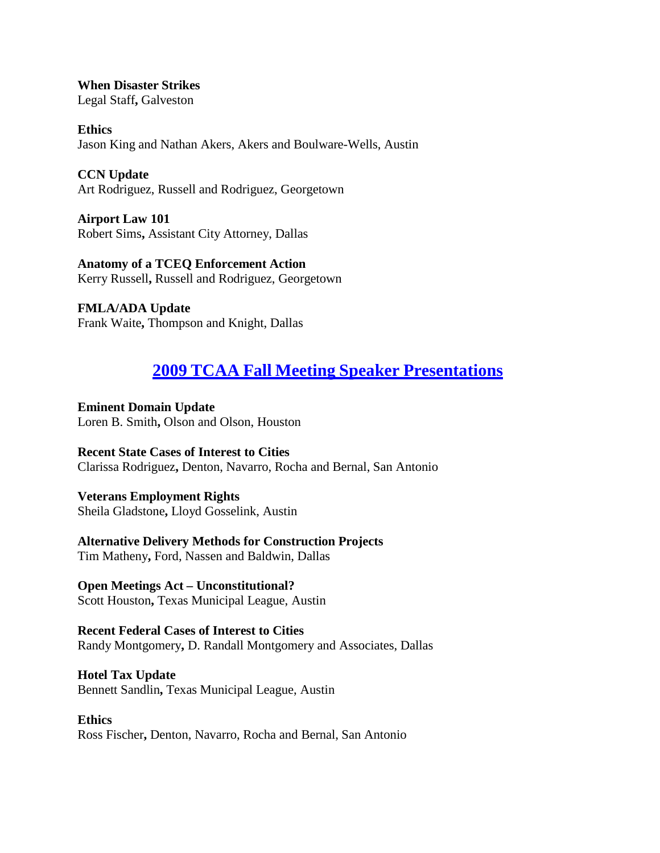**When Disaster Strikes** Legal Staff**,** Galveston

**Ethics** Jason King and Nathan Akers, Akers and Boulware-Wells, Austin

**CCN Update** Art Rodriguez, Russell and Rodriguez, Georgetown

**Airport Law 101** Robert Sims**,** Assistant City Attorney, Dallas

**Anatomy of a TCEQ Enforcement Action** Kerry Russell**,** Russell and Rodriguez, Georgetown

**FMLA/ADA Update** Frank Waite**,** Thompson and Knight, Dallas

# **2009 TCAA Fall Meeting Speaker [Presentations](https://texascityattorneys.org/2009-tcaa-fall-meeting-speaker-papers/)**

**Eminent Domain Update** Loren B. Smith**,** Olson and Olson, Houston

**Recent State Cases of Interest to Cities** Clarissa Rodriguez**,** Denton, Navarro, Rocha and Bernal, San Antonio

**Veterans Employment Rights** Sheila Gladstone**,** Lloyd Gosselink, Austin

**Alternative Delivery Methods for Construction Projects** Tim Matheny**,** Ford, Nassen and Baldwin, Dallas

**Open Meetings Act – Unconstitutional?** Scott Houston**,** Texas Municipal League, Austin

**Recent Federal Cases of Interest to Cities** Randy Montgomery**,** D. Randall Montgomery and Associates, Dallas

**Hotel Tax Update** Bennett Sandlin**,** Texas Municipal League, Austin

**Ethics** Ross Fischer**,** Denton, Navarro, Rocha and Bernal, San Antonio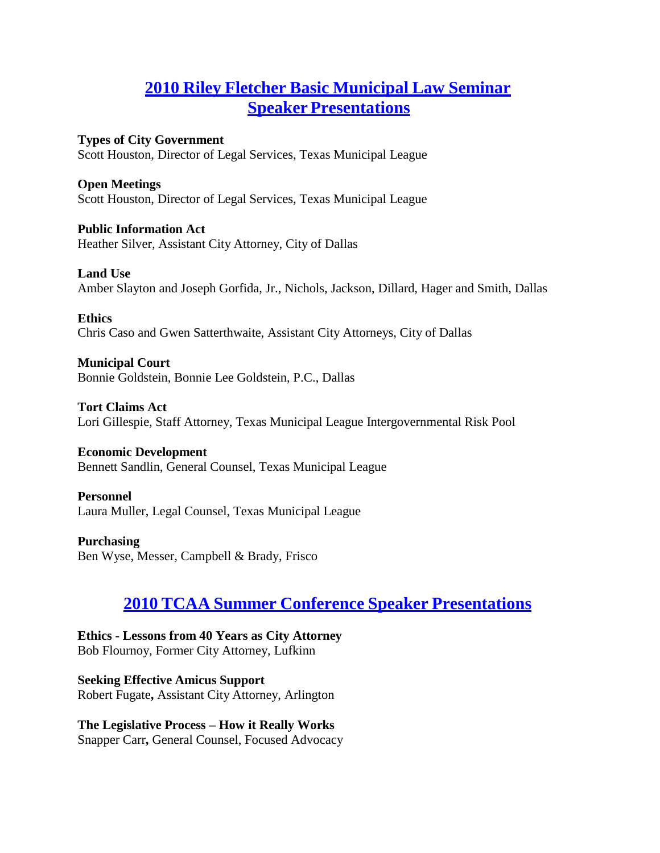# **2010 Riley Fletcher Basic [Municipal](https://texascityattorneys.org/2010-riley-fletcher-basic-municipal-law-seminar-speaker-papers/) Law Seminar Speaker Presentations**

**Types of City Government** Scott Houston, Director of Legal Services, Texas Municipal League

**Open Meetings**

Scott Houston, Director of Legal Services, Texas Municipal League

**Public Information Act**

Heather Silver, Assistant City Attorney, City of Dallas

**Land Use**

Amber Slayton and Joseph Gorfida, Jr., Nichols, Jackson, Dillard, Hager and Smith, Dallas

**Ethics**

Chris Caso and Gwen Satterthwaite, Assistant City Attorneys, City of Dallas

**Municipal Court** Bonnie Goldstein, Bonnie Lee Goldstein, P.C., Dallas

**Tort Claims Act** Lori Gillespie, Staff Attorney, Texas Municipal League Intergovernmental Risk Pool

**Economic Development** Bennett Sandlin, General Counsel, Texas Municipal League

**Personnel**

Laura Muller, Legal Counsel, Texas Municipal League

**Purchasing** Ben Wyse, Messer, Campbell & Brady, Frisco

# **2010 TCAA Summer Conference Speaker [Presentations](https://texascityattorneys.org/2010-tcaa-summer-conference-speaker-papers/)**

**Ethics - Lessons from 40 Years as City Attorney** Bob Flournoy, Former City Attorney, Lufkinn

**Seeking Effective Amicus Support** Robert Fugate**,** Assistant City Attorney, Arlington

**The Legislative Process – How it Really Works** Snapper Carr**,** General Counsel, Focused Advocacy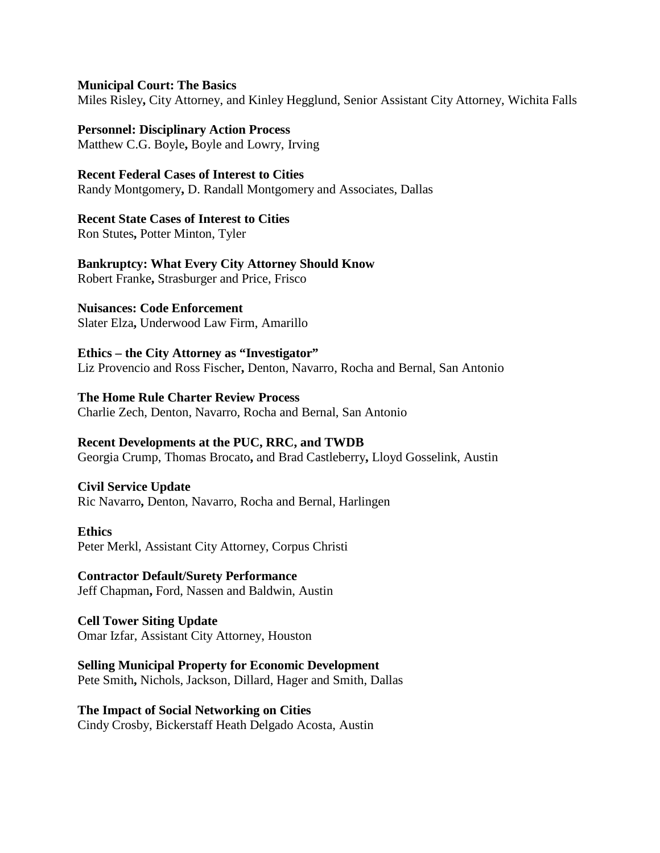#### **Municipal Court: The Basics**

Miles Risley**,** City Attorney, and Kinley Hegglund, Senior Assistant City Attorney, Wichita Falls

# **Personnel: Disciplinary Action Process**

Matthew C.G. Boyle**,** Boyle and Lowry, Irving

### **Recent Federal Cases of Interest to Cities**

Randy Montgomery**,** D. Randall Montgomery and Associates, Dallas

# **Recent State Cases of Interest to Cities**

Ron Stutes**,** Potter Minton, Tyler

# **Bankruptcy: What Every City Attorney Should Know**

Robert Franke**,** Strasburger and Price, Frisco

# **Nuisances: Code Enforcement**

Slater Elza**,** Underwood Law Firm, Amarillo

# **Ethics – the City Attorney as "Investigator"**

Liz Provencio and Ross Fischer**,** Denton, Navarro, Rocha and Bernal, San Antonio

# **The Home Rule Charter Review Process**

Charlie Zech, Denton, Navarro, Rocha and Bernal, San Antonio

# **Recent Developments at the PUC, RRC, and TWDB**

Georgia Crump, Thomas Brocato**,** and Brad Castleberry**,** Lloyd Gosselink, Austin

# **Civil Service Update**

Ric Navarro**,** Denton, Navarro, Rocha and Bernal, Harlingen

#### **Ethics**

Peter Merkl, Assistant City Attorney, Corpus Christi

#### **Contractor Default/Surety Performance** Jeff Chapman**,** Ford, Nassen and Baldwin, Austin

### **Cell Tower Siting Update** Omar Izfar, Assistant City Attorney, Houston

### **Selling Municipal Property for Economic Development** Pete Smith**,** Nichols, Jackson, Dillard, Hager and Smith, Dallas

# **The Impact of Social Networking on Cities**

Cindy Crosby, Bickerstaff Heath Delgado Acosta, Austin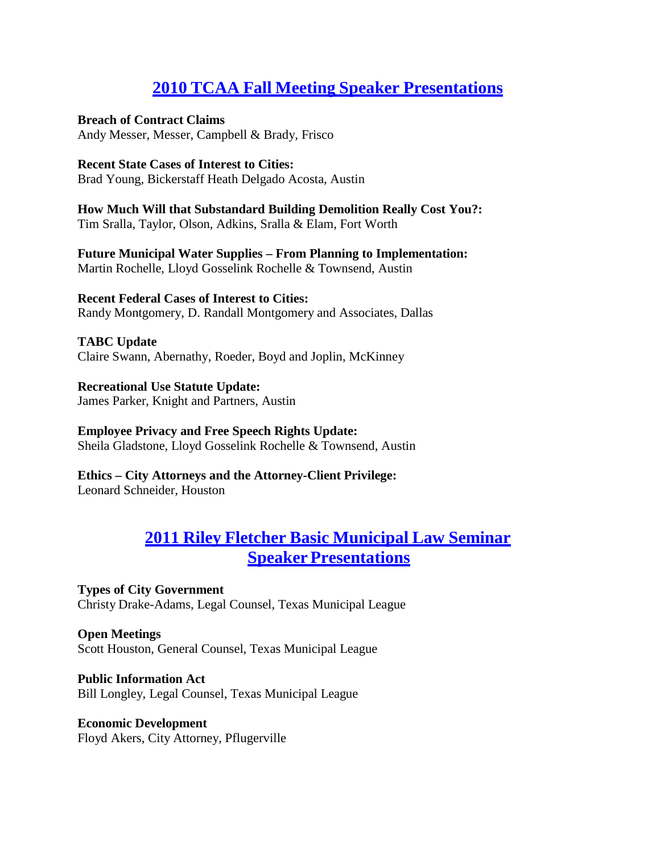# **2010 TCAA Fall Meeting Speaker [Presentations](https://texascityattorneys.org/2010-tcaa-fall-meeting-speaker-papers/)**

### **Breach of Contract Claims**

Andy Messer, Messer, Campbell & Brady, Frisco

### **Recent State Cases of Interest to Cities:**

Brad Young, Bickerstaff Heath Delgado Acosta, Austin

**How Much Will that Substandard Building Demolition Really Cost You?:** Tim Sralla, Taylor, Olson, Adkins, Sralla & Elam, Fort Worth

**Future Municipal Water Supplies – From Planning to Implementation:** Martin Rochelle, Lloyd Gosselink Rochelle & Townsend, Austin

**Recent Federal Cases of Interest to Cities:** Randy Montgomery, D. Randall Montgomery and Associates, Dallas

**TABC Update** Claire Swann, Abernathy, Roeder, Boyd and Joplin, McKinney

**Recreational Use Statute Update:** James Parker, Knight and Partners, Austin

**Employee Privacy and Free Speech Rights Update:** Sheila Gladstone, Lloyd Gosselink Rochelle & Townsend, Austin

**Ethics – City Attorneys and the Attorney-Client Privilege:** Leonard Schneider, Houston

# **2011 Riley Fletcher Basic [Municipal](https://texascityattorneys.org/2011-riley-fletcher-basic-municipal-law-seminar-speaker-paper-2/) Law Seminar Speaker Presentations**

**Types of City Government** Christy Drake-Adams, Legal Counsel, Texas Municipal League

**Open Meetings** Scott Houston, General Counsel, Texas Municipal League

**Public Information Act** Bill Longley, Legal Counsel, Texas Municipal League

**Economic Development** Floyd Akers, City Attorney, Pflugerville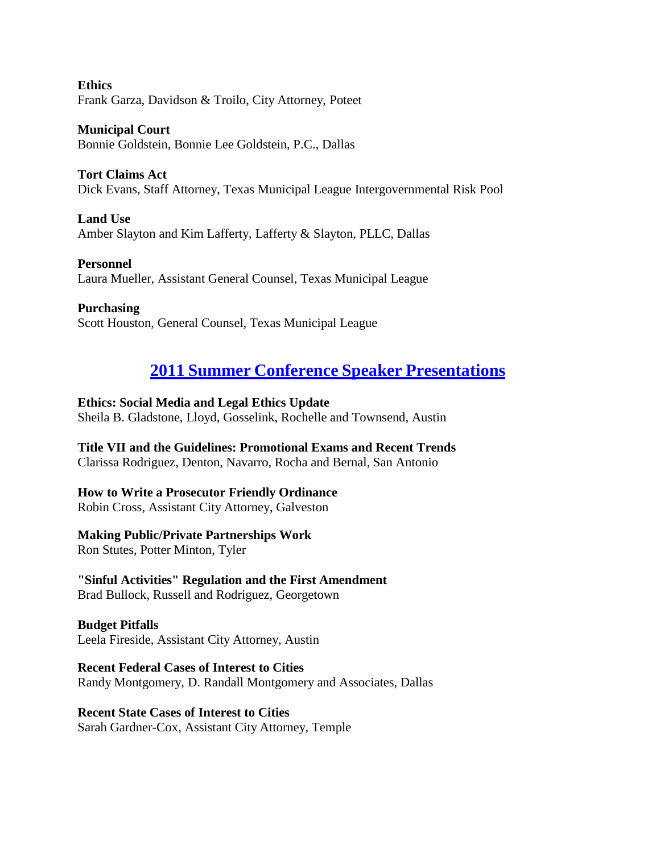**Ethics** Frank Garza, Davidson & Troilo, City Attorney, Poteet

**Municipal Court** Bonnie Goldstein, Bonnie Lee Goldstein, P.C., Dallas

**Tort Claims Act** Dick Evans, Staff Attorney, Texas Municipal League Intergovernmental Risk Pool

**Land Use** Amber Slayton and Kim Lafferty, Lafferty & Slayton, PLLC, Dallas

**Personnel** Laura Mueller, Assistant General Counsel, Texas Municipal League

**Purchasing** Scott Houston, General Counsel, Texas Municipal League

# **2011 Summer Conference Speaker [Presentations](https://texascityattorneys.org/2011-summer-conference-speaker-papers/)**

**Ethics: Social Media and Legal Ethics Update**

Sheila B. Gladstone, Lloyd, Gosselink, Rochelle and Townsend, Austin

**Title VII and the Guidelines: Promotional Exams and Recent Trends**

Clarissa Rodriguez, Denton, Navarro, Rocha and Bernal, San Antonio

**How to Write a Prosecutor Friendly Ordinance**

Robin Cross, Assistant City Attorney, Galveston

# **Making Public/Private Partnerships Work**

Ron Stutes, Potter Minton, Tyler

**"Sinful Activities" Regulation and the First Amendment**

Brad Bullock, Russell and Rodriguez, Georgetown

**Budget Pitfalls** Leela Fireside, Assistant City Attorney, Austin

**Recent Federal Cases of Interest to Cities**

Randy Montgomery, D. Randall Montgomery and Associates, Dallas

**Recent State Cases of Interest to Cities**

Sarah Gardner-Cox, Assistant City Attorney, Temple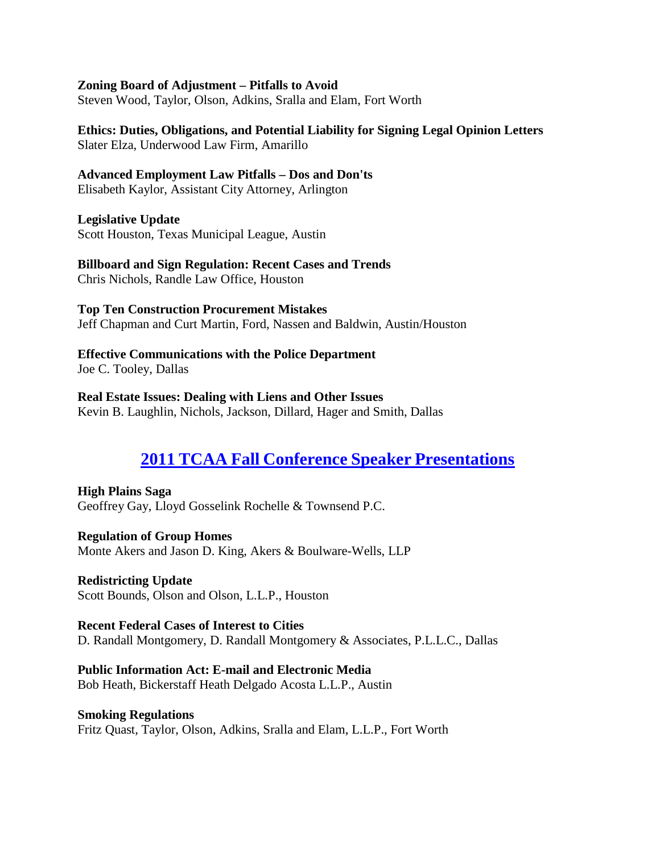#### **Zoning Board of Adjustment – Pitfalls to Avoid**

Steven Wood, Taylor, Olson, Adkins, Sralla and Elam, Fort Worth

**Ethics: Duties, Obligations, and Potential Liability for Signing Legal Opinion Letters** Slater Elza, Underwood Law Firm, Amarillo

#### **Advanced Employment Law Pitfalls – Dos and Don'ts**

Elisabeth Kaylor, Assistant City Attorney, Arlington

#### **Legislative Update**

Scott Houston, Texas Municipal League, Austin

# **Billboard and Sign Regulation: Recent Cases and Trends**

Chris Nichols, Randle Law Office, Houston

### **Top Ten Construction Procurement Mistakes**

Jeff Chapman and Curt Martin, Ford, Nassen and Baldwin, Austin/Houston

# **Effective Communications with the Police Department**

Joe C. Tooley, Dallas

### **Real Estate Issues: Dealing with Liens and Other Issues**

Kevin B. Laughlin, Nichols, Jackson, Dillard, Hager and Smith, Dallas

# **2011 TCAA Fall Conference Speaker [Presentations](https://texascityattorneys.org/2011-tcaa-fall-conference-speaker-pape/)**

**High Plains Saga** Geoffrey Gay, Lloyd Gosselink Rochelle & Townsend P.C.

**Regulation of Group Homes** Monte Akers and Jason D. King, Akers & Boulware-Wells, LLP

**Redistricting Update** Scott Bounds, Olson and Olson, L.L.P., Houston

**Recent Federal Cases of Interest to Cities** D. Randall Montgomery, D. Randall Montgomery & Associates, P.L.L.C., Dallas

**Public Information Act: E-mail and Electronic Media** Bob Heath, Bickerstaff Heath Delgado Acosta L.L.P., Austin

**Smoking Regulations** Fritz Quast, Taylor, Olson, Adkins, Sralla and Elam, L.L.P., Fort Worth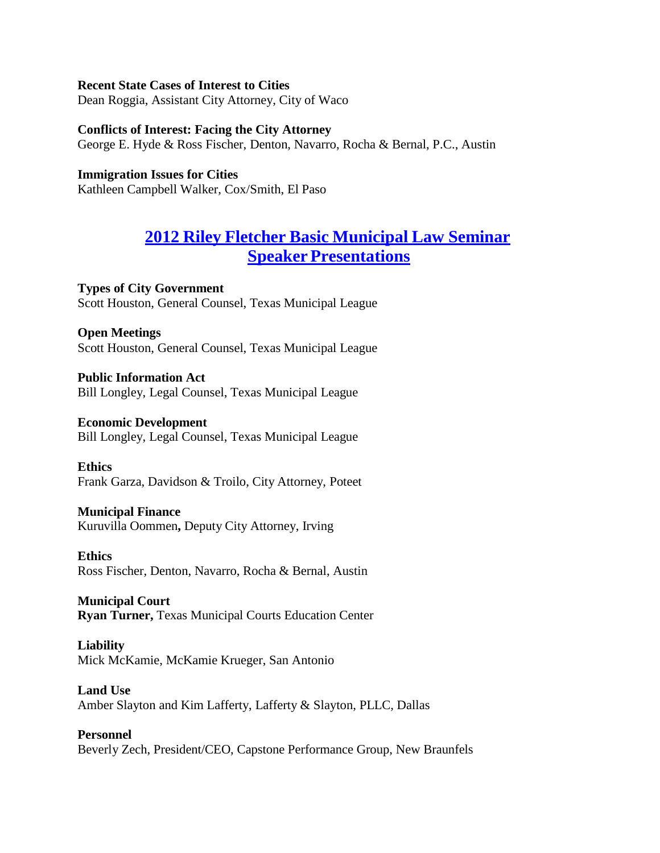#### **Recent State Cases of Interest to Cities**

Dean Roggia, Assistant City Attorney, City of Waco

#### **Conflicts of Interest: Facing the City Attorney**

George E. Hyde & Ross Fischer, Denton, Navarro, Rocha & Bernal, P.C., Austin

#### **Immigration Issues for Cities**

Kathleen Campbell Walker, Cox/Smith, El Paso

# **2012 Riley Fletcher Basic [Municipal](https://texascityattorneys.org/279-2/) Law Seminar Speaker Presentations**

**Types of City Government** Scott Houston, General Counsel, Texas Municipal League

#### **Open Meetings** Scott Houston, General Counsel, Texas Municipal League

**Public Information Act** Bill Longley, Legal Counsel, Texas Municipal League

#### **Economic Development**

Bill Longley, Legal Counsel, Texas Municipal League

**Ethics** Frank Garza, Davidson & Troilo, City Attorney, Poteet

#### **Municipal Finance**

Kuruvilla Oommen**,** Deputy City Attorney, Irving

**Ethics** Ross Fischer, Denton, Navarro, Rocha & Bernal, Austin

**Municipal Court Ryan Turner,** Texas Municipal Courts Education Center

#### **Liability**

Mick McKamie, McKamie Krueger, San Antonio

#### **Land Use**

Amber Slayton and Kim Lafferty, Lafferty & Slayton, PLLC, Dallas

#### **Personnel**

Beverly Zech, President/CEO, Capstone Performance Group, New Braunfels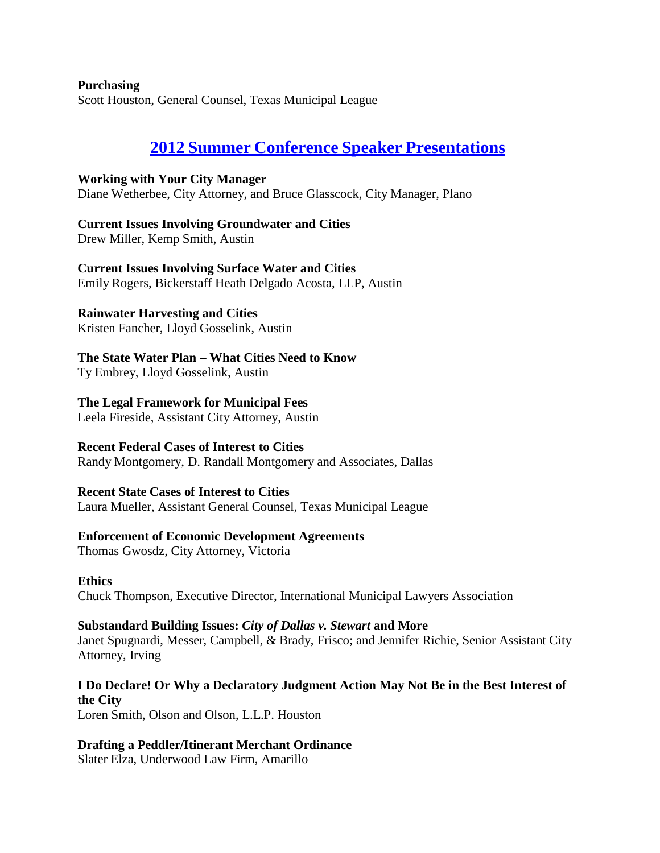**Purchasing** Scott Houston, General Counsel, Texas Municipal League

# **2012 Summer Conference Speaker [Presentations](https://texascityattorneys.org/2012-summer-conference-speaker-papers/)**

**Working with Your City Manager** Diane Wetherbee, City Attorney, and Bruce Glasscock, City Manager, Plano

**Current Issues Involving Groundwater and Cities** Drew Miller, Kemp Smith, Austin

**Current Issues Involving Surface Water and Cities** Emily Rogers, Bickerstaff Heath Delgado Acosta, LLP, Austin

# **Rainwater Harvesting and Cities**

Kristen Fancher, Lloyd Gosselink, Austin

**The State Water Plan – What Cities Need to Know**

Ty Embrey, Lloyd Gosselink, Austin

**The Legal Framework for Municipal Fees**

Leela Fireside, Assistant City Attorney, Austin

# **Recent Federal Cases of Interest to Cities**

Randy Montgomery, D. Randall Montgomery and Associates, Dallas

# **Recent State Cases of Interest to Cities**

Laura Mueller, Assistant General Counsel, Texas Municipal League

# **Enforcement of Economic Development Agreements**

Thomas Gwosdz, City Attorney, Victoria

**Ethics**

Chuck Thompson, Executive Director, International Municipal Lawyers Association

# **Substandard Building Issues:** *City of Dallas v. Stewart* **and More**

Janet Spugnardi, Messer, Campbell, & Brady, Frisco; and Jennifer Richie, Senior Assistant City Attorney, Irving

# **I Do Declare! Or Why a Declaratory Judgment Action May Not Be in the Best Interest of the City**

Loren Smith, Olson and Olson, L.L.P. Houston

# **Drafting a Peddler/Itinerant Merchant Ordinance**

Slater Elza, Underwood Law Firm, Amarillo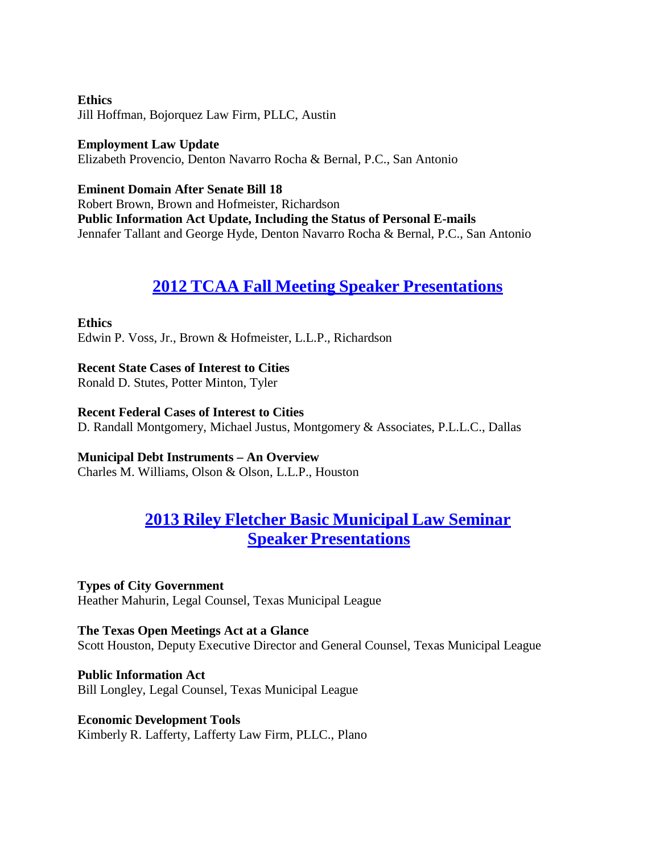**Ethics** Jill Hoffman, Bojorquez Law Firm, PLLC, Austin

**Employment Law Update** Elizabeth Provencio, Denton Navarro Rocha & Bernal, P.C., San Antonio

**Eminent Domain After Senate Bill 18** Robert Brown, Brown and Hofmeister, Richardson **Public Information Act Update, Including the Status of Personal E-mails** Jennafer Tallant and George Hyde, Denton Navarro Rocha & Bernal, P.C., San Antonio

# **2012 TCAA Fall Meeting Speaker [Presentations](https://texascityattorneys.org/2012-tcaa-fall-conference-speaker-papers/)**

# **Ethics**

Edwin P. Voss, Jr., Brown & Hofmeister, L.L.P., Richardson

**Recent State Cases of Interest to Cities** Ronald D. Stutes, Potter Minton, Tyler

**Recent Federal Cases of Interest to Cities** D. Randall Montgomery, Michael Justus, Montgomery & Associates, P.L.L.C., Dallas

**Municipal Debt Instruments – An Overview**

Charles M. Williams, Olson & Olson, L.L.P., Houston

# **2013 Riley Fletcher Basic [Municipal](https://texascityattorneys.org/2013-riley-fletcher-basic-municipal-law-seminar-speaker-paper/) Law Seminar Speaker [Presentations](https://texascityattorneys.org/2013-riley-fletcher-basic-municipal-law-seminar-speaker-paper/)**

**Types of City Government** Heather Mahurin, Legal Counsel, Texas Municipal League

**The Texas Open Meetings Act at a Glance** Scott Houston, Deputy Executive Director and General Counsel, Texas Municipal League

**Public Information Act** Bill Longley, Legal Counsel, Texas Municipal League

**Economic Development Tools** Kimberly R. Lafferty, Lafferty Law Firm, PLLC., Plano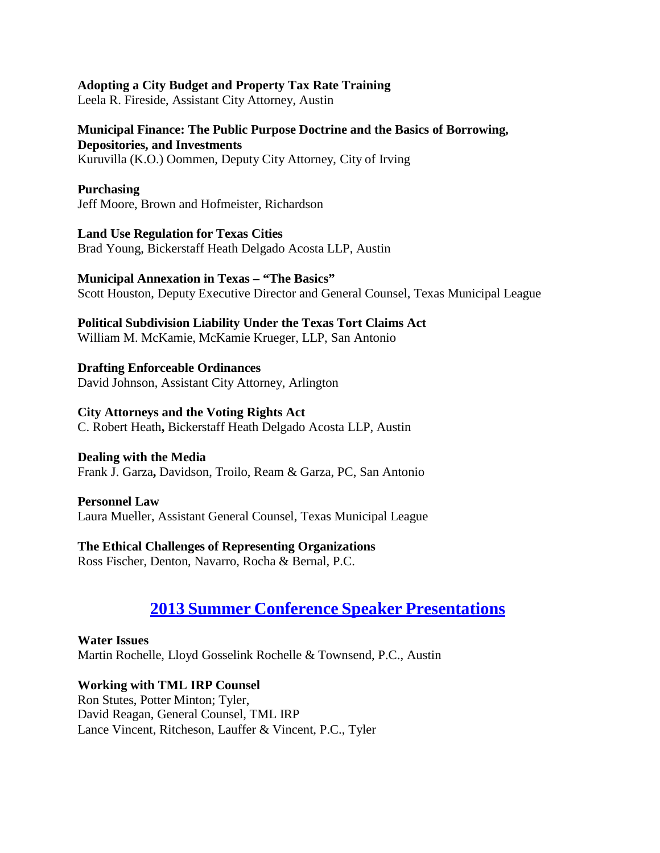#### **Adopting a City Budget and Property Tax Rate Training**

Leela R. Fireside, Assistant City Attorney, Austin

#### **Municipal Finance: The Public Purpose Doctrine and the Basics of Borrowing, Depositories, and Investments**

Kuruvilla (K.O.) Oommen, Deputy City Attorney, City of Irving

#### **Purchasing**

Jeff Moore, Brown and Hofmeister, Richardson

**Land Use Regulation for Texas Cities** Brad Young, Bickerstaff Heath Delgado Acosta LLP, Austin

### **Municipal Annexation in Texas – "The Basics"**

Scott Houston, Deputy Executive Director and General Counsel, Texas Municipal League

# **Political Subdivision Liability Under the Texas Tort Claims Act**

William M. McKamie, McKamie Krueger, LLP, San Antonio

**Drafting Enforceable Ordinances** David Johnson, Assistant City Attorney, Arlington

### **City Attorneys and the Voting Rights Act**

C. Robert Heath**,** Bickerstaff Heath Delgado Acosta LLP, Austin

#### **Dealing with the Media**

Frank J. Garza**,** Davidson, Troilo, Ream & Garza, PC, San Antonio

#### **Personnel Law**

Laura Mueller, Assistant General Counsel, Texas Municipal League

# **The Ethical Challenges of Representing Organizations**

Ross Fischer, Denton, Navarro, Rocha & Bernal, P.C.

# **2013 Summer Conference Speaker [Presentations](https://texascityattorneys.org/2013-summer-conference-speaker-papers-2/)**

**Water Issues** Martin Rochelle, Lloyd Gosselink Rochelle & Townsend, P.C., Austin

# **Working with TML IRP Counsel**

Ron Stutes, Potter Minton; Tyler, David Reagan, General Counsel, TML IRP Lance Vincent, Ritcheson, Lauffer & Vincent, P.C., Tyler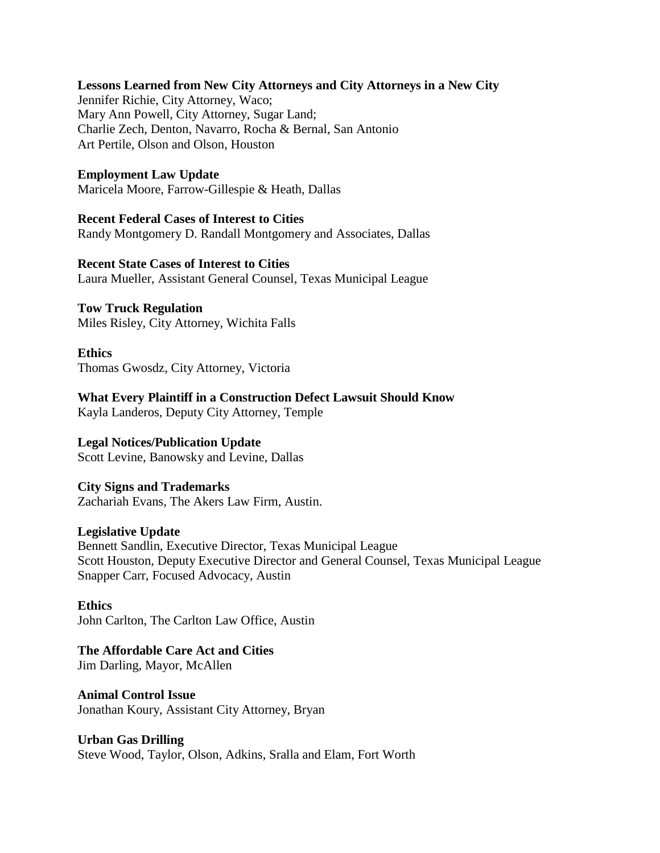#### **Lessons Learned from New City Attorneys and City Attorneys in a New City**

Jennifer Richie, City Attorney, Waco; Mary Ann Powell, City Attorney, Sugar Land; Charlie Zech, Denton, Navarro, Rocha & Bernal, San Antonio Art Pertile, Olson and Olson, Houston

#### **Employment Law Update**

Maricela Moore, Farrow-Gillespie & Heath, Dallas

#### **Recent Federal Cases of Interest to Cities**

Randy Montgomery D. Randall Montgomery and Associates, Dallas

#### **Recent State Cases of Interest to Cities** Laura Mueller, Assistant General Counsel, Texas Municipal League

#### **Tow Truck Regulation**

Miles Risley, City Attorney, Wichita Falls

**Ethics** Thomas Gwosdz, City Attorney, Victoria

**What Every Plaintiff in a Construction Defect Lawsuit Should Know** Kayla Landeros, Deputy City Attorney, Temple

#### **Legal Notices/Publication Update**

Scott Levine, Banowsky and Levine, Dallas

#### **City Signs and Trademarks**

Zachariah Evans, The Akers Law Firm, Austin.

#### **Legislative Update**

Bennett Sandlin, Executive Director, Texas Municipal League Scott Houston, Deputy Executive Director and General Counsel, Texas Municipal League Snapper Carr, Focused Advocacy, Austin

**Ethics** John Carlton, The Carlton Law Office, Austin

# **The Affordable Care Act and Cities**

Jim Darling, Mayor, McAllen

#### **Animal Control Issue**

Jonathan Koury, Assistant City Attorney, Bryan

#### **Urban Gas Drilling**

Steve Wood, Taylor, Olson, Adkins, Sralla and Elam, Fort Worth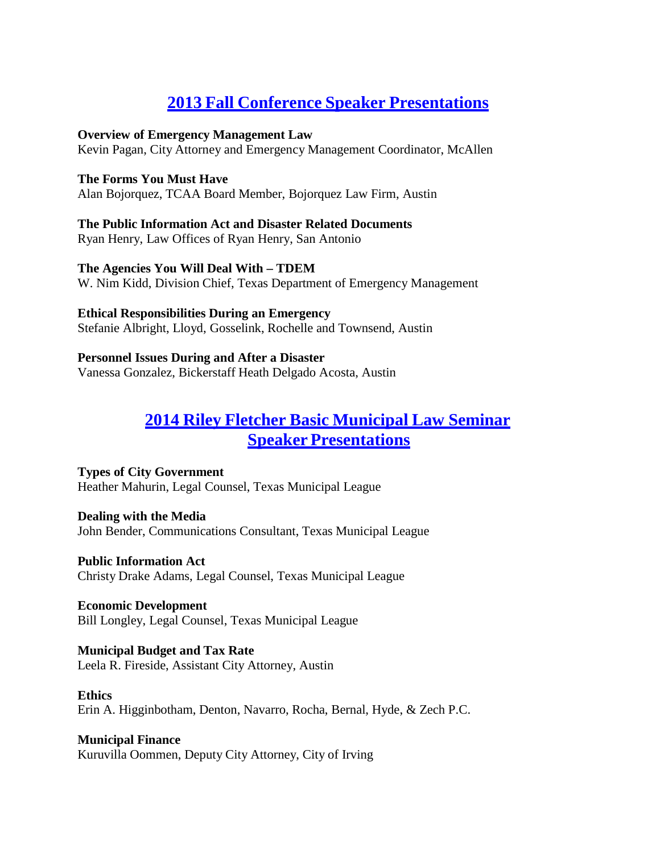# **2013 Fall Conference Speaker [Presentations](https://texascityattorneys.org/2013-fall-meeting-speaker-papers/)**

#### **Overview of Emergency Management Law**

Kevin Pagan, City Attorney and Emergency Management Coordinator, McAllen

#### **The Forms You Must Have**

Alan Bojorquez, TCAA Board Member, Bojorquez Law Firm, Austin

# **The Public Information Act and Disaster Related Documents**

Ryan Henry, Law Offices of Ryan Henry, San Antonio

### **The Agencies You Will Deal With – TDEM**

W. Nim Kidd, Division Chief, Texas Department of Emergency Management

#### **Ethical Responsibilities During an Emergency**

Stefanie Albright, Lloyd, Gosselink, Rochelle and Townsend, Austin

# **Personnel Issues During and After a Disaster**

Vanessa Gonzalez, Bickerstaff Heath Delgado Acosta, Austin

# **2014 Riley Fletcher Basic [Municipal](https://texascityattorneys.org/2014-riley-fletcher-basic-municipal-law-seminar/) Law Seminar Speaker [Presentations](https://texascityattorneys.org/2014-riley-fletcher-basic-municipal-law-seminar/)**

**Types of City Government** Heather Mahurin, Legal Counsel, Texas Municipal League

**Dealing with the Media** John Bender, Communications Consultant, Texas Municipal League

**Public Information Act** Christy Drake Adams, Legal Counsel, Texas Municipal League

**Economic Development** Bill Longley, Legal Counsel, Texas Municipal League

#### **Municipal Budget and Tax Rate** Leela R. Fireside, Assistant City Attorney, Austin

#### **Ethics**

Erin A. Higginbotham, Denton, Navarro, Rocha, Bernal, Hyde, & Zech P.C.

# **Municipal Finance**

Kuruvilla Oommen, Deputy City Attorney, City of Irving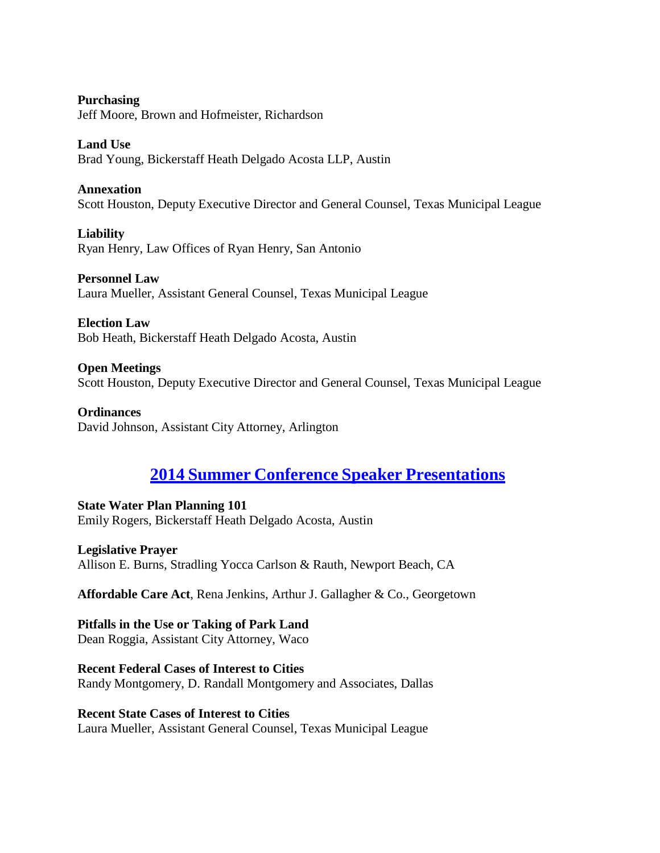**Purchasing** Jeff Moore, Brown and Hofmeister, Richardson

**Land Use** Brad Young, Bickerstaff Heath Delgado Acosta LLP, Austin

**Annexation** Scott Houston, Deputy Executive Director and General Counsel, Texas Municipal League

**Liability** Ryan Henry, Law Offices of Ryan Henry, San Antonio

**Personnel Law** Laura Mueller, Assistant General Counsel, Texas Municipal League

**Election Law** Bob Heath, Bickerstaff Heath Delgado Acosta, Austin

**Open Meetings** Scott Houston, Deputy Executive Director and General Counsel, Texas Municipal League

**Ordinances** David Johnson, Assistant City Attorney, Arlington

# **2014 Summer Conference Speaker [Presentations](https://texascityattorneys.org/2014-summer-conference-speaker-materials/)**

**State Water Plan Planning 101** Emily Rogers, Bickerstaff Heath Delgado Acosta, Austin

**Legislative Prayer** Allison E. Burns, Stradling Yocca Carlson & Rauth, Newport Beach, CA

**Affordable Care Act**, Rena Jenkins, Arthur J. Gallagher & Co., Georgetown

**Pitfalls in the Use or Taking of Park Land** Dean Roggia, Assistant City Attorney, Waco

**Recent Federal Cases of Interest to Cities** Randy Montgomery, D. Randall Montgomery and Associates, Dallas

**Recent State Cases of Interest to Cities** Laura Mueller, Assistant General Counsel, Texas Municipal League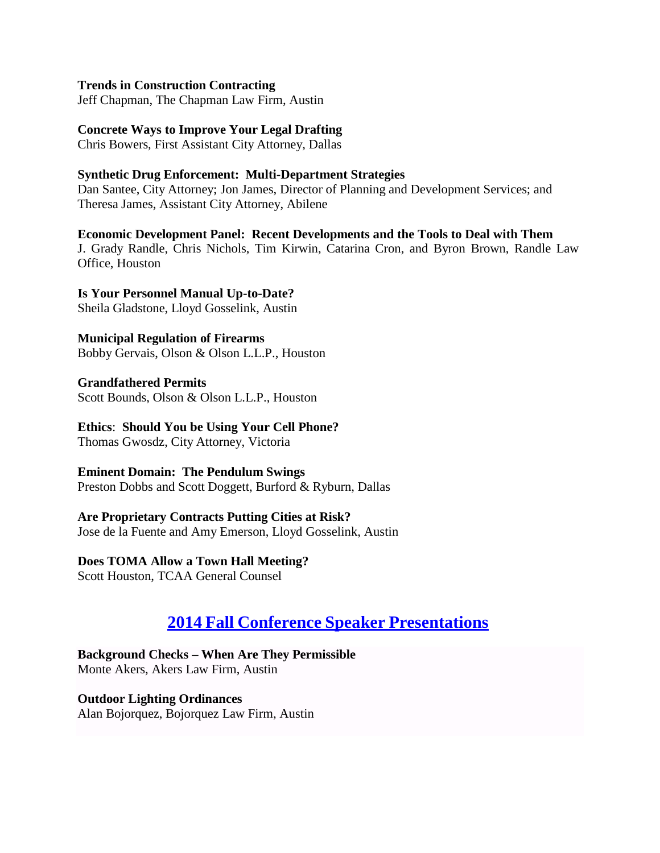#### **Trends in Construction Contracting**

Jeff Chapman, The Chapman Law Firm, Austin

#### **Concrete Ways to Improve Your Legal Drafting**

Chris Bowers, First Assistant City Attorney, Dallas

#### **Synthetic Drug Enforcement: Multi-Department Strategies**

Dan Santee, City Attorney; Jon James, Director of Planning and Development Services; and Theresa James, Assistant City Attorney, Abilene

**Economic Development Panel: Recent Developments and the Tools to Deal with Them** J. Grady Randle, Chris Nichols, Tim Kirwin, Catarina Cron, and Byron Brown, Randle Law Office, Houston

#### **Is Your Personnel Manual Up-to-Date?** Sheila Gladstone, Lloyd Gosselink, Austin

**Municipal Regulation of Firearms** Bobby Gervais, Olson & Olson L.L.P., Houston

**Grandfathered Permits** Scott Bounds, Olson & Olson L.L.P., Houston

**Ethics**: **Should You be Using Your Cell Phone?** Thomas Gwosdz, City Attorney, Victoria

**Eminent Domain: The Pendulum Swings** Preston Dobbs and Scott Doggett, Burford & Ryburn, Dallas

**Are Proprietary Contracts Putting Cities at Risk?** Jose de la Fuente and Amy Emerson, Lloyd Gosselink, Austin

**Does TOMA Allow a Town Hall Meeting?**

Scott Houston, TCAA General Counsel

# **2014 Fall Conference Speaker [Presentations](https://texascityattorneys.org/2014-fall-conference-seminar-materials/)**

**Background Checks – When Are They Permissible** Monte Akers, Akers Law Firm, Austin

**Outdoor Lighting Ordinances** Alan Bojorquez, Bojorquez Law Firm, Austin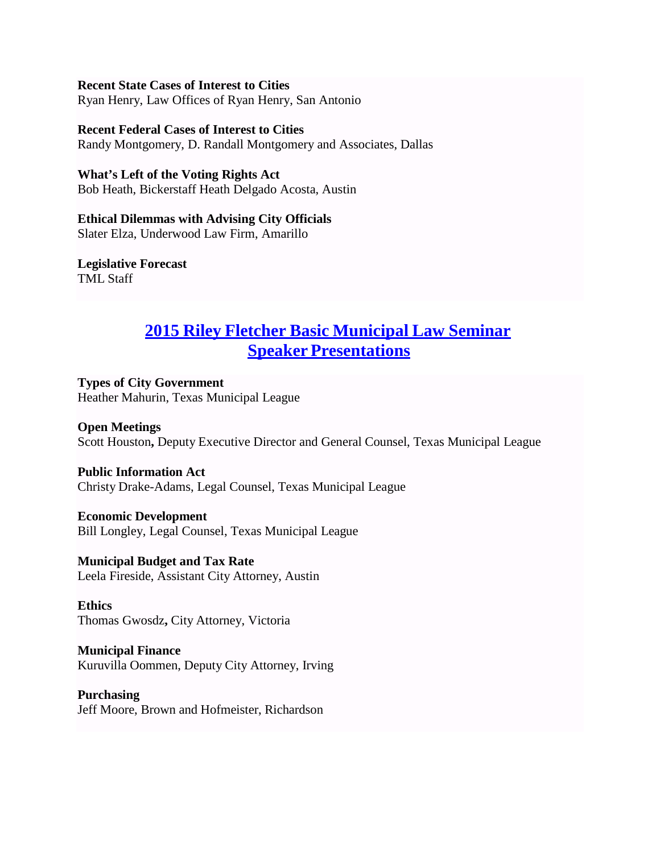**Recent State Cases of Interest to Cities** Ryan Henry, Law Offices of Ryan Henry, San Antonio

**Recent Federal Cases of Interest to Cities** Randy Montgomery, D. Randall Montgomery and Associates, Dallas

**What's Left of the Voting Rights Act** Bob Heath, Bickerstaff Heath Delgado Acosta, Austin

**Ethical Dilemmas with Advising City Officials** Slater Elza, Underwood Law Firm, Amarillo

**Legislative Forecast** TML Staff

# **2015 Riley Fletcher Basic [Municipal](https://texascityattorneys.org/2015-riley-fletcher-seminar-materials/) Law Seminar Speaker [Presentations](https://texascityattorneys.org/2015-riley-fletcher-seminar-materials/)**

**Types of City Government** Heather Mahurin, Texas Municipal League

**Open Meetings** Scott Houston**,** Deputy Executive Director and General Counsel, Texas Municipal League

**Public Information Act** Christy Drake-Adams, Legal Counsel, Texas Municipal League

**Economic Development** Bill Longley, Legal Counsel, Texas Municipal League

**Municipal Budget and Tax Rate** Leela Fireside, Assistant City Attorney, Austin

**Ethics** Thomas Gwosdz**,** City Attorney, Victoria

**Municipal Finance** Kuruvilla Oommen, Deputy City Attorney, Irving

**Purchasing** Jeff Moore, Brown and Hofmeister, Richardson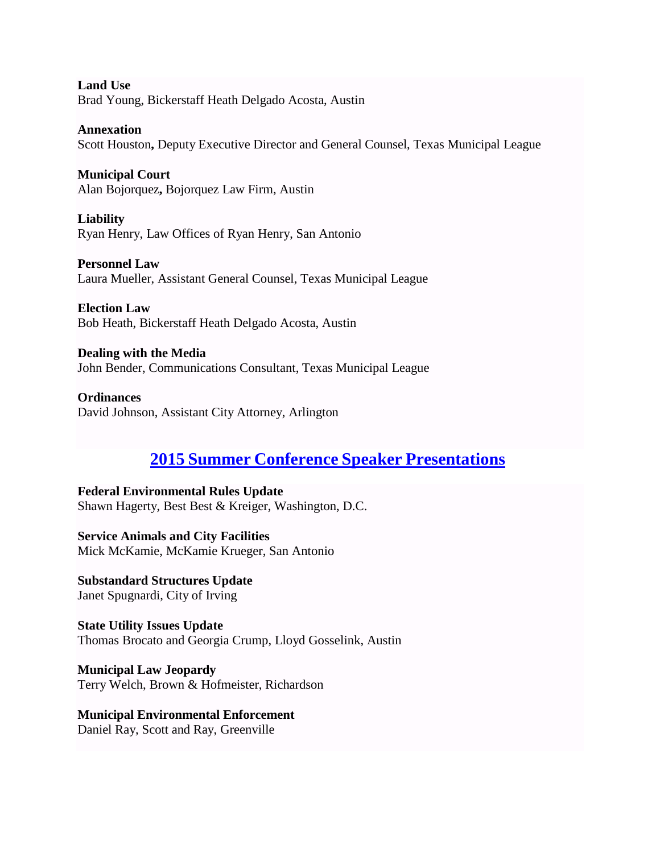**Land Use** Brad Young, Bickerstaff Heath Delgado Acosta, Austin

**Annexation** Scott Houston**,** Deputy Executive Director and General Counsel, Texas Municipal League

**Municipal Court** Alan Bojorquez**,** Bojorquez Law Firm, Austin

**Liability** Ryan Henry, Law Offices of Ryan Henry, San Antonio

**Personnel Law** Laura Mueller, Assistant General Counsel, Texas Municipal League

**Election Law** Bob Heath, Bickerstaff Heath Delgado Acosta, Austin

**Dealing with the Media** John Bender, Communications Consultant, Texas Municipal League

**Ordinances** David Johnson, Assistant City Attorney, Arlington

# **2015 Summer Conference Speaker [Presentations](https://texascityattorneys.org/2015-summer-conference-speaker-papers/)**

**Federal Environmental Rules Update** Shawn Hagerty, Best Best & Kreiger, Washington, D.C.

**Service Animals and City Facilities** Mick McKamie, McKamie Krueger, San Antonio

**Substandard Structures Update** Janet Spugnardi, City of Irving

**State Utility Issues Update** Thomas Brocato and Georgia Crump, Lloyd Gosselink, Austin

**Municipal Law Jeopardy** Terry Welch, Brown & Hofmeister, Richardson

# **Municipal Environmental Enforcement**

Daniel Ray, Scott and Ray, Greenville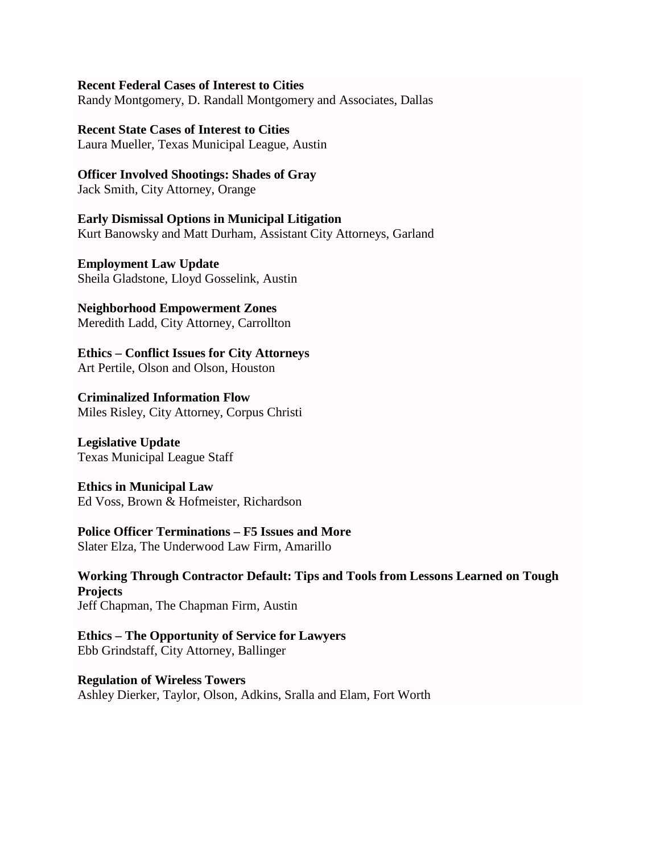### **Recent Federal Cases of Interest to Cities**

Randy Montgomery, D. Randall Montgomery and Associates, Dallas

# **Recent State Cases of Interest to Cities**

Laura Mueller, Texas Municipal League, Austin

# **Officer Involved Shootings: Shades of Gray**

Jack Smith, City Attorney, Orange

**Early Dismissal Options in Municipal Litigation** Kurt Banowsky and Matt Durham, Assistant City Attorneys, Garland

**Employment Law Update** Sheila Gladstone, Lloyd Gosselink, Austin

**Neighborhood Empowerment Zones** Meredith Ladd, City Attorney, Carrollton

**Ethics – Conflict Issues for City Attorneys** Art Pertile, Olson and Olson, Houston

**Criminalized Information Flow** Miles Risley, City Attorney, Corpus Christi

**Legislative Update** Texas Municipal League Staff

**Ethics in Municipal Law** Ed Voss, Brown & Hofmeister, Richardson

# **Police Officer Terminations – F5 Issues and More**

Slater Elza, The Underwood Law Firm, Amarillo

**Working Through Contractor Default: Tips and Tools from Lessons Learned on Tough Projects** Jeff Chapman, The Chapman Firm, Austin

**Ethics – The Opportunity of Service for Lawyers** Ebb Grindstaff, City Attorney, Ballinger

**Regulation of Wireless Towers** Ashley Dierker, Taylor, Olson, Adkins, Sralla and Elam, Fort Worth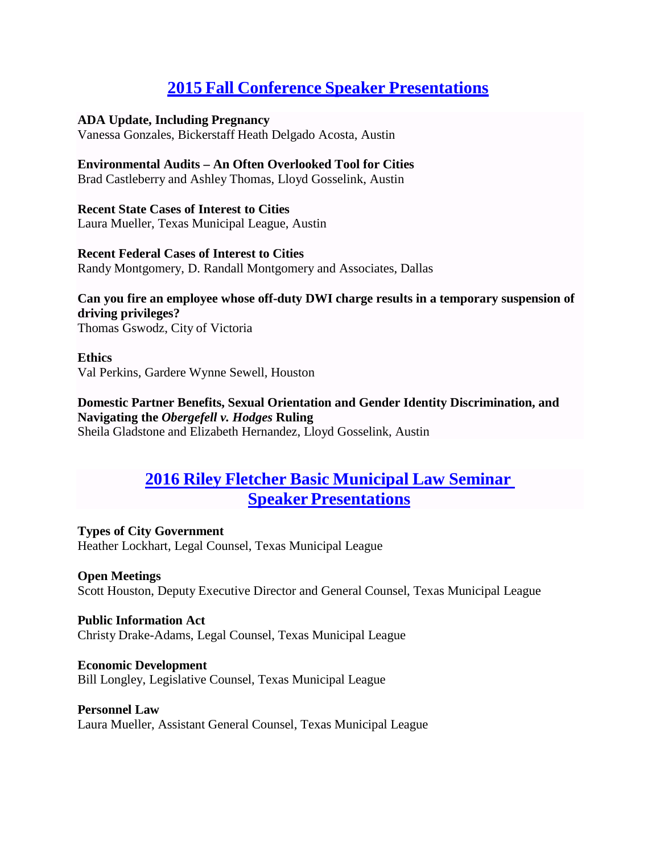# **2015 Fall Conference Speaker [Presentations](https://texascityattorneys.org/2015-fall-conference-seminar-materials-2/)**

### **ADA Update, Including Pregnancy**

Vanessa Gonzales, Bickerstaff Heath Delgado Acosta, Austin

### **Environmental Audits – An Often Overlooked Tool for Cities**

Brad Castleberry and Ashley Thomas, Lloyd Gosselink, Austin

# **Recent State Cases of Interest to Cities**

Laura Mueller, Texas Municipal League, Austin

### **Recent Federal Cases of Interest to Cities**

Randy Montgomery, D. Randall Montgomery and Associates, Dallas

# **Can you fire an employee whose off-duty DWI charge results in a temporary suspension of driving privileges?**

Thomas Gswodz, City of Victoria

#### **Ethics** Val Perkins, Gardere Wynne Sewell, Houston

### **Domestic Partner Benefits, Sexual Orientation and Gender Identity Discrimination, and Navigating the** *Obergefell v. Hodges* **Ruling** Sheila Gladstone and Elizabeth Hernandez, Lloyd Gosselink, Austin

# **2016 Riley Fletcher Basic [Municipal](https://texascityattorneys.org/2016-riley-fletcher-seminar-materials/) Law Seminar Speaker [Presentations](https://texascityattorneys.org/2016-riley-fletcher-seminar-materials/)**

### **Types of City Government** Heather Lockhart, Legal Counsel, Texas Municipal League

# **Open Meetings**

Scott Houston, Deputy Executive Director and General Counsel, Texas Municipal League

# **Public Information Act**

Christy Drake-Adams, Legal Counsel, Texas Municipal League

# **Economic Development**

Bill Longley, Legislative Counsel, Texas Municipal League

# **Personnel Law**

Laura Mueller, Assistant General Counsel, Texas Municipal League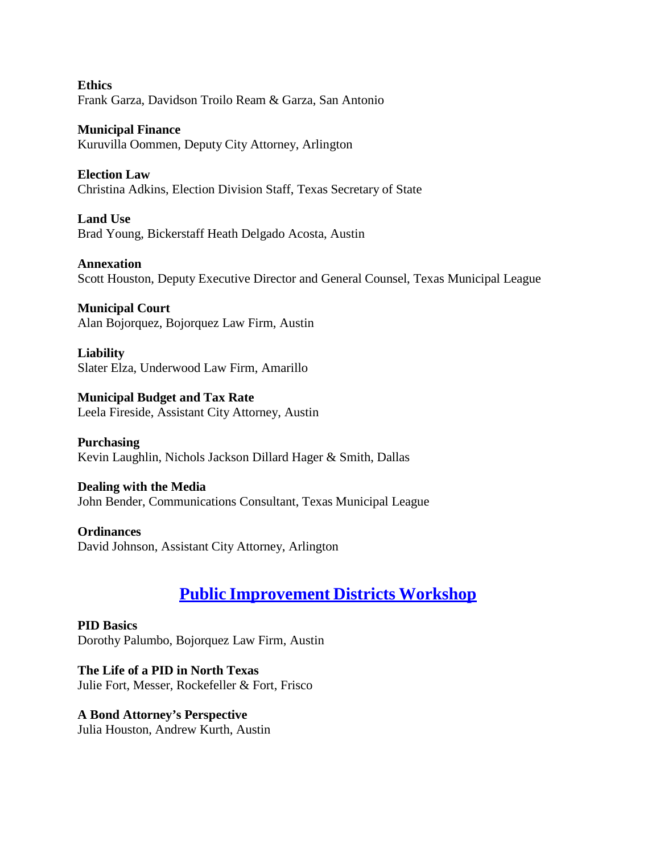**Ethics** Frank Garza, Davidson Troilo Ream & Garza, San Antonio

**Municipal Finance** Kuruvilla Oommen, Deputy City Attorney, Arlington

**Election Law** Christina Adkins, Election Division Staff, Texas Secretary of State

**Land Use** Brad Young, Bickerstaff Heath Delgado Acosta, Austin

**Annexation** Scott Houston, Deputy Executive Director and General Counsel, Texas Municipal League

**Municipal Court** Alan Bojorquez, Bojorquez Law Firm, Austin

**Liability** Slater Elza, Underwood Law Firm, Amarillo

**Municipal Budget and Tax Rate** Leela Fireside, Assistant City Attorney, Austin

**Purchasing** Kevin Laughlin, Nichols Jackson Dillard Hager & Smith, Dallas

**Dealing with the Media** John Bender, Communications Consultant, Texas Municipal League

**Ordinances** David Johnson, Assistant City Attorney, Arlington

# **Public [Improvement](https://texascityattorneys.org/public-improvement-districts-summit-february-19-2016/) Districts Workshop**

**PID Basics** Dorothy Palumbo, Bojorquez Law Firm, Austin

**The Life of a PID in North Texas** Julie Fort, Messer, Rockefeller & Fort, Frisco

**A Bond Attorney's Perspective** Julia Houston, Andrew Kurth, Austin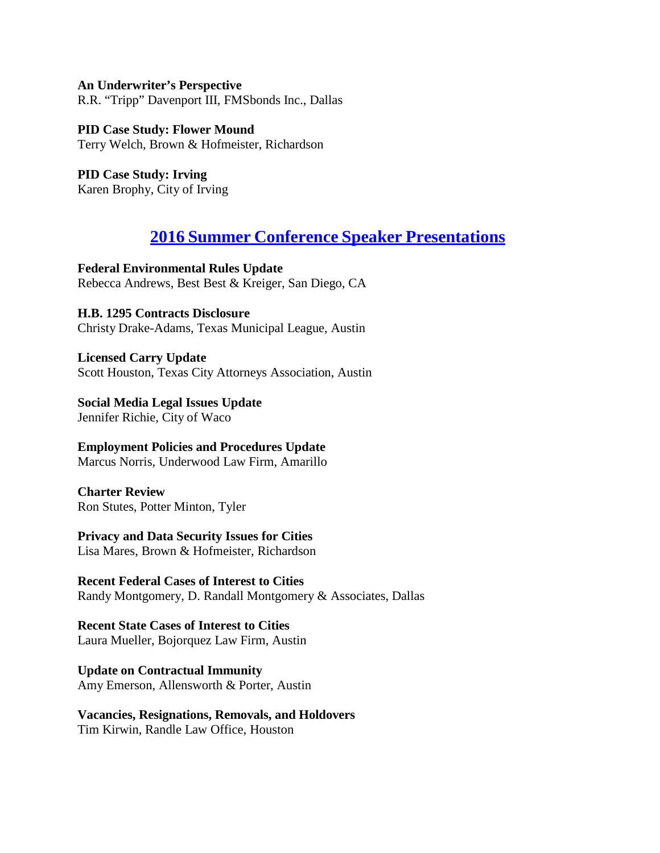**An Underwriter's Perspective** R.R. "Tripp" Davenport III, FMSbonds Inc., Dallas

**PID Case Study: Flower Mound** Terry Welch, Brown & Hofmeister, Richardson

**PID Case Study: Irving** Karen Brophy, City of Irving

# **2016 Summer Conference Speaker [Presentations](https://texascityattorneys.org/2016-summer-conference-speaker-papers/)**

**Federal Environmental Rules Update** Rebecca Andrews, Best Best & Kreiger, San Diego, CA

# **H.B. 1295 Contracts Disclosure**

Christy Drake-Adams, Texas Municipal League, Austin

**Licensed Carry Update** Scott Houston, Texas City Attorneys Association, Austin

**Social Media Legal Issues Update** Jennifer Richie, City of Waco

**Employment Policies and Procedures Update** Marcus Norris, Underwood Law Firm, Amarillo

**Charter Review** Ron Stutes, Potter Minton, Tyler

# **Privacy and Data Security Issues for Cities**

Lisa Mares, Brown & Hofmeister, Richardson

**Recent Federal Cases of Interest to Cities** Randy Montgomery, D. Randall Montgomery & Associates, Dallas

# **Recent State Cases of Interest to Cities**

Laura Mueller, Bojorquez Law Firm, Austin

**Update on Contractual Immunity** Amy Emerson, Allensworth & Porter, Austin

**Vacancies, Resignations, Removals, and Holdovers** Tim Kirwin, Randle Law Office, Houston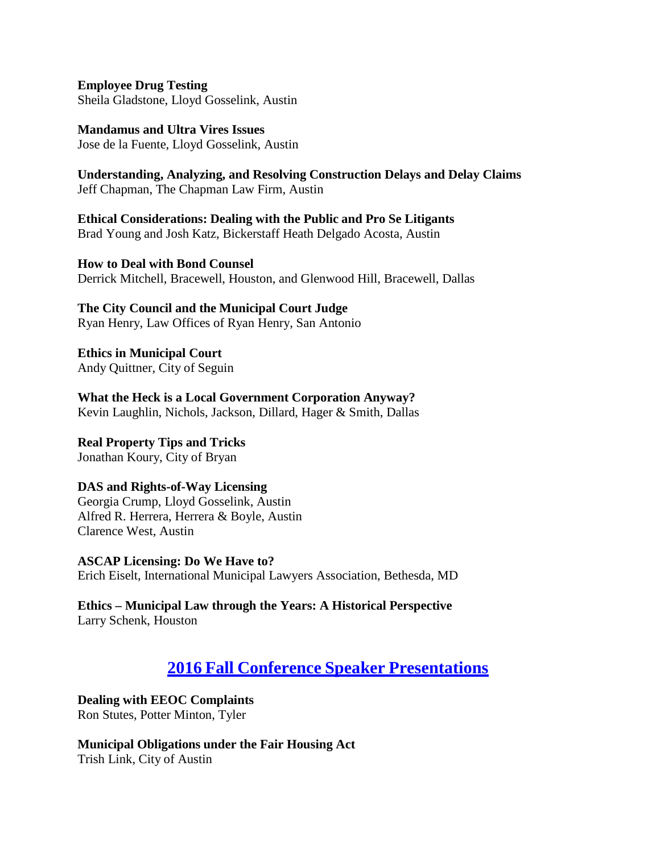**Employee Drug Testing** Sheila Gladstone, Lloyd Gosselink, Austin

**Mandamus and Ultra Vires Issues** Jose de la Fuente, Lloyd Gosselink, Austin

**Understanding, Analyzing, and Resolving Construction Delays and Delay Claims** Jeff Chapman, The Chapman Law Firm, Austin

**Ethical Considerations: Dealing with the Public and Pro Se Litigants** Brad Young and Josh Katz, Bickerstaff Heath Delgado Acosta, Austin

**How to Deal with Bond Counsel** Derrick Mitchell, Bracewell, Houston, and Glenwood Hill, Bracewell, Dallas

**The City Council and the Municipal Court Judge** Ryan Henry, Law Offices of Ryan Henry, San Antonio

**Ethics in Municipal Court** Andy Quittner, City of Seguin

**What the Heck is a Local Government Corporation Anyway?** Kevin Laughlin, Nichols, Jackson, Dillard, Hager & Smith, Dallas

**Real Property Tips and Tricks** Jonathan Koury, City of Bryan

# **DAS and Rights-of-Way Licensing**

Georgia Crump, Lloyd Gosselink, Austin Alfred R. Herrera, Herrera & Boyle, Austin Clarence West, Austin

**ASCAP Licensing: Do We Have to?** Erich Eiselt, International Municipal Lawyers Association, Bethesda, MD

**Ethics – Municipal Law through the Years: A Historical Perspective** Larry Schenk, Houston

# **2016 Fall Conference Speaker [Presentations](https://texascityattorneys.org/2016-fall-conference/)**

**Dealing with EEOC Complaints** Ron Stutes, Potter Minton, Tyler

**Municipal Obligations under the Fair Housing Act** Trish Link, City of Austin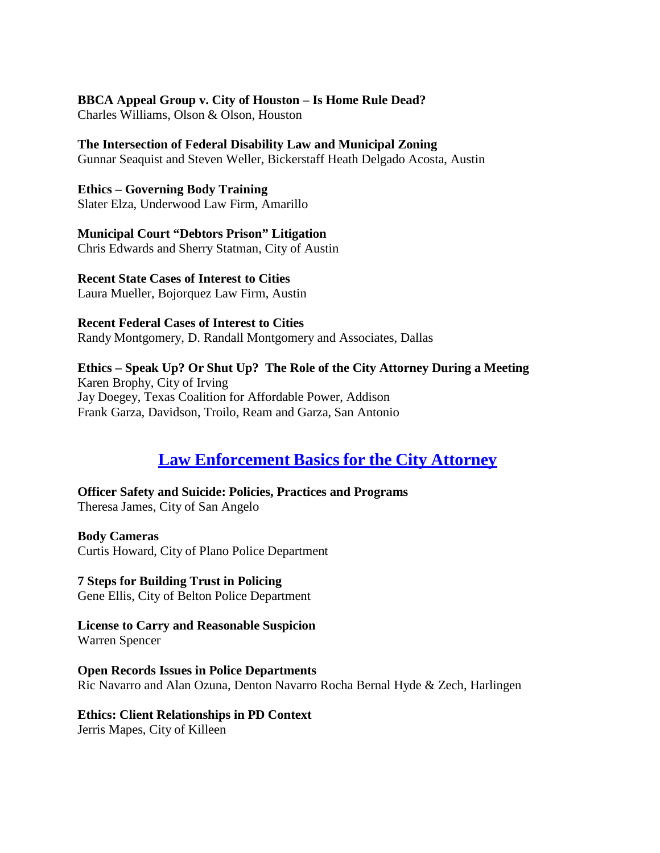#### **BBCA Appeal Group v. City of Houston – Is Home Rule Dead?**

Charles Williams, Olson & Olson, Houston

#### **The Intersection of Federal Disability Law and Municipal Zoning** Gunnar Seaquist and Steven Weller, Bickerstaff Heath Delgado Acosta, Austin

**Ethics – Governing Body Training** Slater Elza, Underwood Law Firm, Amarillo

**Municipal Court "Debtors Prison" Litigation** Chris Edwards and Sherry Statman, City of Austin

**Recent State Cases of Interest to Cities** Laura Mueller, Bojorquez Law Firm, Austin

**Recent Federal Cases of Interest to Cities** Randy Montgomery, D. Randall Montgomery and Associates, Dallas

**Ethics – Speak Up? Or Shut Up? The Role of the City Attorney During a Meeting** Karen Brophy, City of Irving Jay Doegey, Texas Coalition for Affordable Power, Addison Frank Garza, Davidson, Troilo, Ream and Garza, San Antonio

# **Law [Enforcement](https://texascityattorneys.org/law-enforcement-basics-for-the-city-attorney-february-10-2017/) Basics for the City Attorney**

**Officer Safety and Suicide: Policies, Practices and Programs** Theresa James, City of San Angelo

**Body Cameras** Curtis Howard, City of Plano Police Department

**7 Steps for Building Trust in Policing** Gene Ellis, City of Belton Police Department

**License to Carry and Reasonable Suspicion** Warren Spencer

**Open Records Issues in Police Departments** Ric Navarro and Alan Ozuna, Denton Navarro Rocha Bernal Hyde & Zech, Harlingen

#### **Ethics: Client Relationships in PD Context**

Jerris Mapes, City of Killeen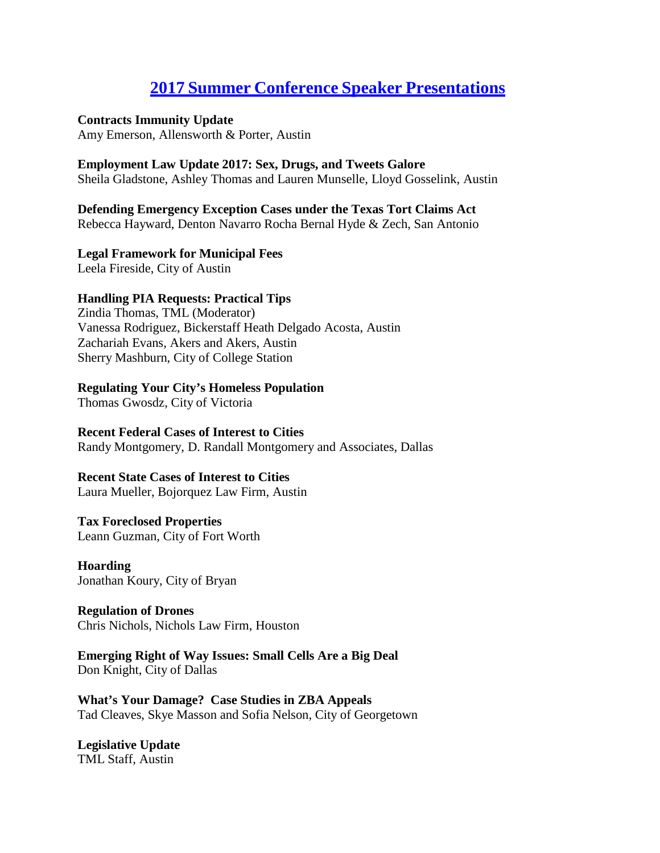# **2017 Summer Conference Speaker [Presentations](https://texascityattorneys.org/2017-summer-conference-speaker-papers/)**

#### **Contracts Immunity Update**

Amy Emerson, Allensworth & Porter, Austin

#### **Employment Law Update 2017: Sex, Drugs, and Tweets Galore**

Sheila Gladstone, Ashley Thomas and Lauren Munselle, Lloyd Gosselink, Austin

### **Defending Emergency Exception Cases under the Texas Tort Claims Act**

Rebecca Hayward, Denton Navarro Rocha Bernal Hyde & Zech, San Antonio

#### **Legal Framework for Municipal Fees**

Leela Fireside, City of Austin

### **Handling PIA Requests: Practical Tips**

Zindia Thomas, TML (Moderator) Vanessa Rodriguez, Bickerstaff Heath Delgado Acosta, Austin Zachariah Evans, Akers and Akers, Austin Sherry Mashburn, City of College Station

### **Regulating Your City's Homeless Population**

Thomas Gwosdz, City of Victoria

### **Recent Federal Cases of Interest to Cities**

Randy Montgomery, D. Randall Montgomery and Associates, Dallas

#### **Recent State Cases of Interest to Cities**

Laura Mueller, Bojorquez Law Firm, Austin

#### **Tax Foreclosed Properties**

Leann Guzman, City of Fort Worth

### **Hoarding** Jonathan Koury, City of Bryan

**Regulation of Drones** Chris Nichols, Nichols Law Firm, Houston

**Emerging Right of Way Issues: Small Cells Are a Big Deal** Don Knight, City of Dallas

**What's Your Damage? Case Studies in ZBA Appeals** Tad Cleaves, Skye Masson and Sofia Nelson, City of Georgetown

**Legislative Update** TML Staff, Austin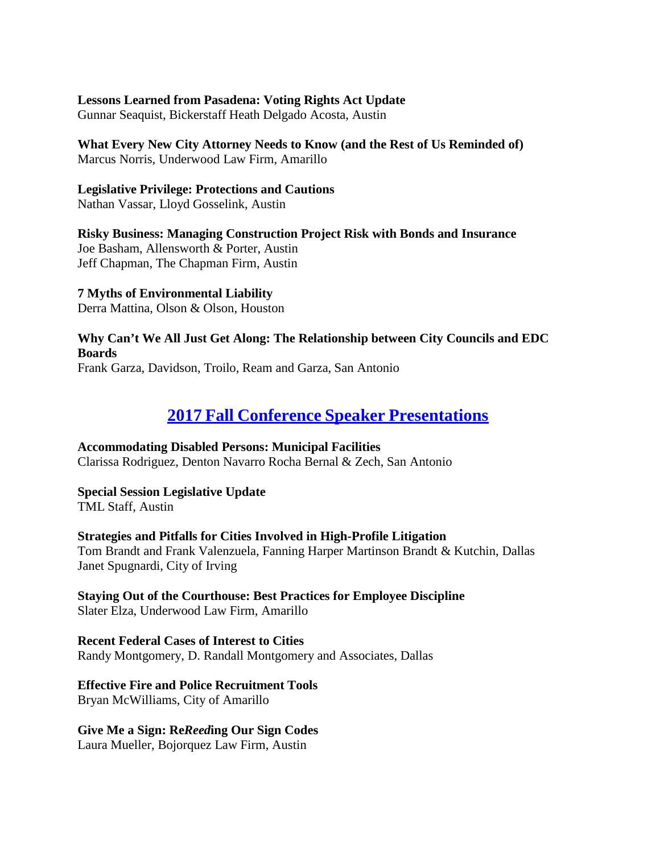#### **Lessons Learned from Pasadena: Voting Rights Act Update**

Gunnar Seaquist, Bickerstaff Heath Delgado Acosta, Austin

### **What Every New City Attorney Needs to Know (and the Rest of Us Reminded of)**

Marcus Norris, Underwood Law Firm, Amarillo

### **Legislative Privilege: Protections and Cautions**

Nathan Vassar, Lloyd Gosselink, Austin

**Risky Business: Managing Construction Project Risk with Bonds and Insurance** Joe Basham, Allensworth & Porter, Austin Jeff Chapman, The Chapman Firm, Austin

**7 Myths of Environmental Liability** Derra Mattina, Olson & Olson, Houston

**Why Can't We All Just Get Along: The Relationship between City Councils and EDC Boards** Frank Garza, Davidson, Troilo, Ream and Garza, San Antonio

# **2017 Fall Conference Speaker [Presentations](https://texascityattorneys.org/2017-tcaa-fall-conference/)**

# **Accommodating Disabled Persons: Municipal Facilities**

Clarissa Rodriguez, Denton Navarro Rocha Bernal & Zech, San Antonio

**Special Session Legislative Update** TML Staff, Austin

**Strategies and Pitfalls for Cities Involved in High-Profile Litigation** Tom Brandt and Frank Valenzuela, Fanning Harper Martinson Brandt & Kutchin, Dallas Janet Spugnardi, City of Irving

**Staying Out of the Courthouse: Best Practices for Employee Discipline** Slater Elza, Underwood Law Firm, Amarillo

**Recent Federal Cases of Interest to Cities** Randy Montgomery, D. Randall Montgomery and Associates, Dallas

# **Effective Fire and Police Recruitment Tools**

Bryan McWilliams, City of Amarillo

# **Give Me a Sign: Re***Reed***ing Our Sign Codes**

Laura Mueller, Bojorquez Law Firm, Austin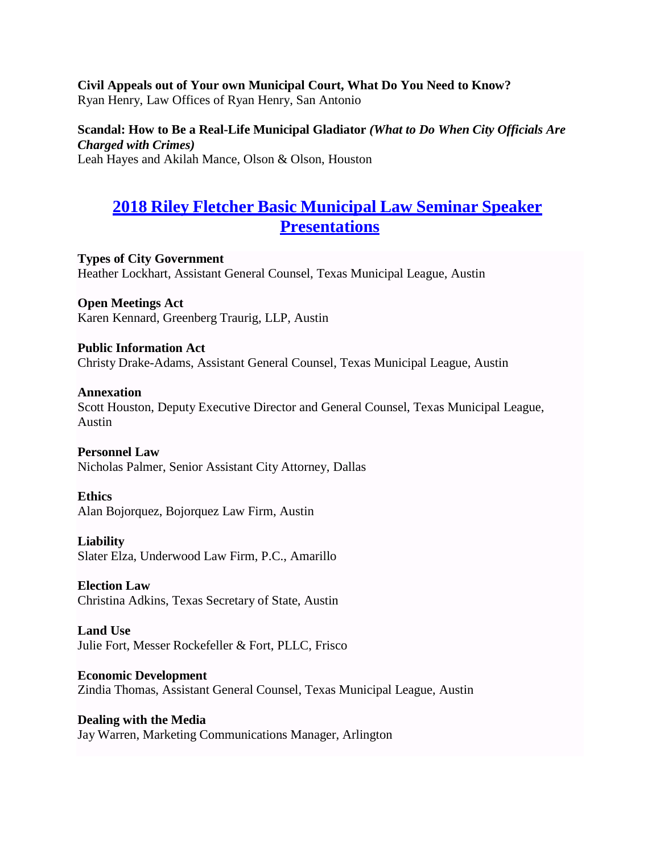# **Civil Appeals out of Your own Municipal Court, What Do You Need to Know?**

Ryan Henry, Law Offices of Ryan Henry, San Antonio

#### **Scandal: How to Be a Real-Life Municipal Gladiator** *(What to Do When City Officials Are Charged with Crimes)*

Leah Hayes and Akilah Mance, Olson & Olson, Houston

# **2018 Riley Fletcher Basic [Municipal](https://texascityattorneys.org/2018-riley-fletcher-basic-municipal-law-seminar/) Law Seminar Speaker [Presentations](https://texascityattorneys.org/2018-riley-fletcher-basic-municipal-law-seminar/)**

**Types of City Government** Heather Lockhart, Assistant General Counsel, Texas Municipal League, Austin

**Open Meetings Act** Karen Kennard, Greenberg Traurig, LLP, Austin

### **Public Information Act** Christy Drake-Adams, Assistant General Counsel, Texas Municipal League, Austin

#### **Annexation**

Scott Houston, Deputy Executive Director and General Counsel, Texas Municipal League, Austin

#### **Personnel Law**

Nicholas Palmer, Senior Assistant City Attorney, Dallas

#### **Ethics**

Alan Bojorquez, Bojorquez Law Firm, Austin

#### **Liability**

Slater Elza, Underwood Law Firm, P.C., Amarillo

#### **Election Law**

Christina Adkins, Texas Secretary of State, Austin

#### **Land Use** Julie Fort, Messer Rockefeller & Fort, PLLC, Frisco

**Economic Development** Zindia Thomas, Assistant General Counsel, Texas Municipal League, Austin

#### **Dealing with the Media**

Jay Warren, Marketing Communications Manager, Arlington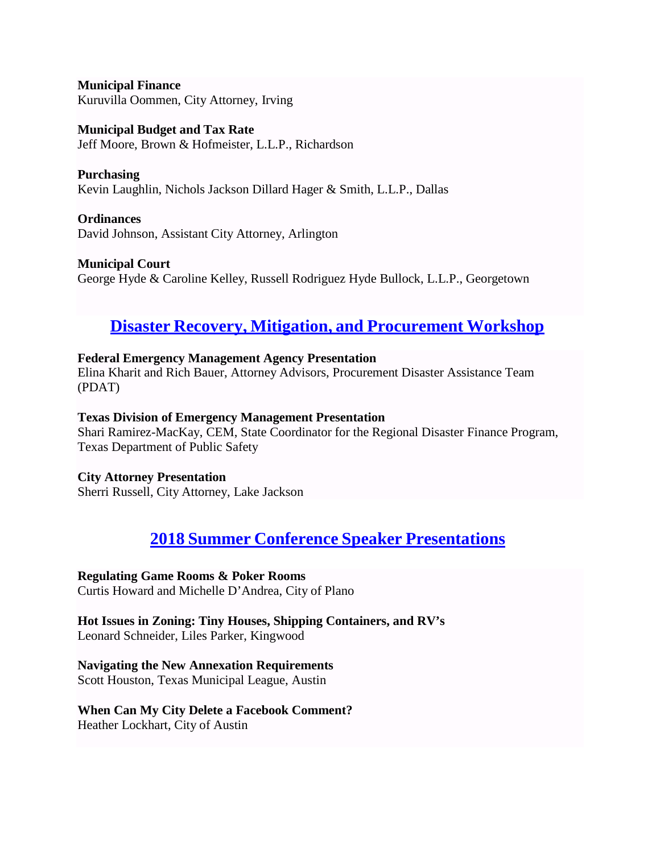**Municipal Finance** Kuruvilla Oommen, City Attorney, Irving

**Municipal Budget and Tax Rate** Jeff Moore, Brown & Hofmeister, L.L.P., Richardson

**Purchasing** Kevin Laughlin, Nichols Jackson Dillard Hager & Smith, L.L.P., Dallas

**Ordinances** David Johnson, Assistant City Attorney, Arlington

**Municipal Court** George Hyde & Caroline Kelley, Russell Rodriguez Hyde Bullock, L.L.P., Georgetown

# **Disaster Recovery, Mitigation, and [Procurement](https://texascityattorneys.org/disaster-recovery-mitigation-and-procurement-workshop/) Workshop**

# **Federal Emergency Management Agency Presentation**

Elina Kharit and Rich Bauer, Attorney Advisors, Procurement Disaster Assistance Team (PDAT)

#### **Texas Division of Emergency Management Presentation**

Shari Ramirez-MacKay, CEM, State Coordinator for the Regional Disaster Finance Program, Texas Department of Public Safety

**City Attorney Presentation**

Sherri Russell, City Attorney, Lake Jackson

# **2018 Summer Conference Speaker [Presentations](https://texascityattorneys.org/2018-summer-conference-speaker-papers/)**

# **Regulating Game Rooms & Poker Rooms**

Curtis Howard and Michelle D'Andrea, City of Plano

**Hot Issues in Zoning: Tiny Houses, Shipping Containers, and RV's** Leonard Schneider, Liles Parker, Kingwood

# **Navigating the New Annexation Requirements**

Scott Houston, Texas Municipal League, Austin

# **When Can My City Delete a Facebook Comment?**

Heather Lockhart, City of Austin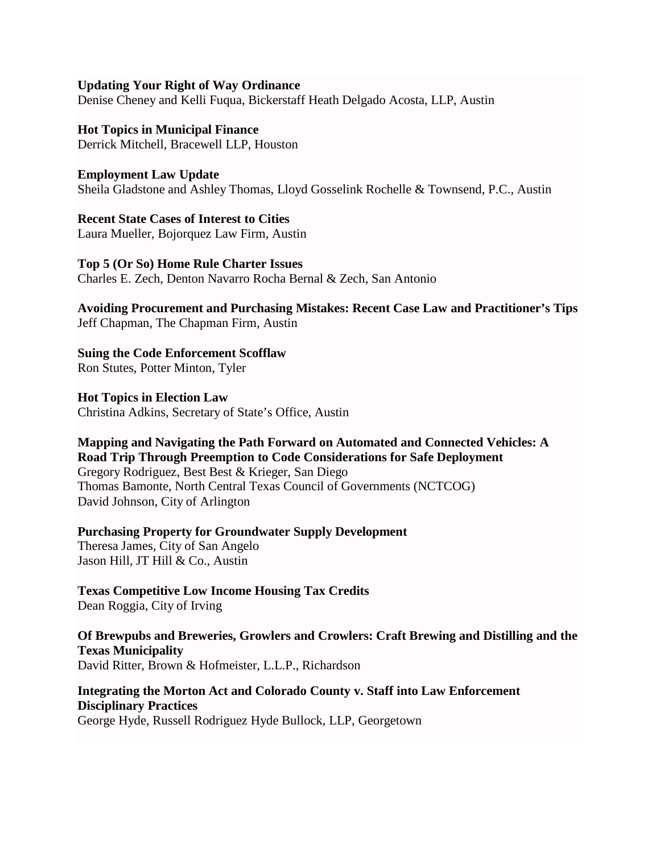#### **Updating Your Right of Way Ordinance**

Denise Cheney and Kelli Fuqua, Bickerstaff Heath Delgado Acosta, LLP, Austin

#### **Hot Topics in Municipal Finance** Derrick Mitchell, Bracewell LLP, Houston

**Employment Law Update** Sheila Gladstone and Ashley Thomas, Lloyd Gosselink Rochelle & Townsend, P.C., Austin

**Recent State Cases of Interest to Cities** Laura Mueller, Bojorquez Law Firm, Austin

**Top 5 (Or So) Home Rule Charter Issues** Charles E. Zech, Denton Navarro Rocha Bernal & Zech, San Antonio

**Avoiding Procurement and Purchasing Mistakes: Recent Case Law and Practitioner's Tips** Jeff Chapman, The Chapman Firm, Austin

**Suing the Code Enforcement Scofflaw** Ron Stutes, Potter Minton, Tyler

**Hot Topics in Election Law** Christina Adkins, Secretary of State's Office, Austin

**Mapping and Navigating the Path Forward on Automated and Connected Vehicles: A Road Trip Through Preemption to Code Considerations for Safe Deployment** Gregory Rodriguez, Best Best & Krieger, San Diego Thomas Bamonte, North Central Texas Council of Governments (NCTCOG) David Johnson, City of Arlington

**Purchasing Property for Groundwater Supply Development**

Theresa James, City of San Angelo Jason Hill, JT Hill & Co., Austin

**Texas Competitive Low Income Housing Tax Credits**

Dean Roggia, City of Irving

**Of Brewpubs and Breweries, Growlers and Crowlers: Craft Brewing and Distilling and the Texas Municipality** David Ritter, Brown & Hofmeister, L.L.P., Richardson

**Integrating the Morton Act and Colorado County v. Staff into Law Enforcement Disciplinary Practices** George Hyde, Russell Rodriguez Hyde Bullock, LLP, Georgetown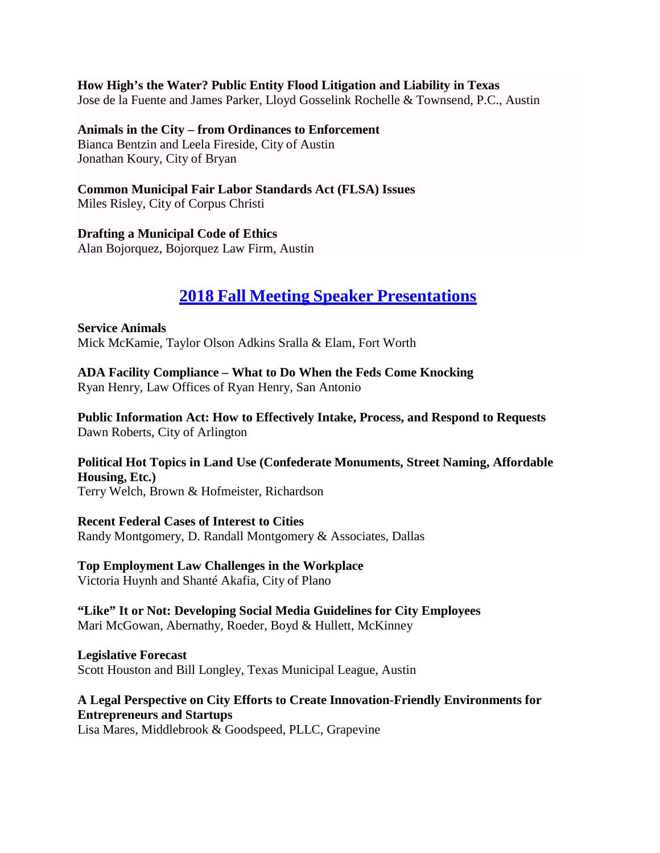#### **How High's the Water? Public Entity Flood Litigation and Liability in Texas**

Jose de la Fuente and James Parker, Lloyd Gosselink Rochelle & Townsend, P.C., Austin

#### **Animals in the City – from Ordinances to Enforcement**

Bianca Bentzin and Leela Fireside, City of Austin Jonathan Koury, City of Bryan

# **Common Municipal Fair Labor Standards Act (FLSA) Issues**

Miles Risley, City of Corpus Christi

### **Drafting a Municipal Code of Ethics**

Alan Bojorquez, Bojorquez Law Firm, Austin

# **2018 Fall Meeting Speaker [Presentations](https://texascityattorneys.org/2018-tcaa-fall-conference/)**

**Service Animals** Mick McKamie, Taylor Olson Adkins Sralla & Elam, Fort Worth

**ADA Facility Compliance – What to Do When the Feds Come Knocking** Ryan Henry, Law Offices of Ryan Henry, San Antonio

**Public Information Act: How to Effectively Intake, Process, and Respond to Requests** Dawn Roberts, City of Arlington

# **Political Hot Topics in Land Use (Confederate Monuments, Street Naming, Affordable Housing, Etc.)**

Terry Welch, Brown & Hofmeister, Richardson

#### **Recent Federal Cases of Interest to Cities** Randy Montgomery, D. Randall Montgomery & Associates, Dallas

#### **Top Employment Law Challenges in the Workplace** Victoria Huynh and Shanté Akafia, City of Plano

### **"Like" It or Not: Developing Social Media Guidelines for City Employees** Mari McGowan, Abernathy, Roeder, Boyd & Hullett, McKinney

### **Legislative Forecast** Scott Houston and Bill Longley, Texas Municipal League, Austin

# **A Legal Perspective on City Efforts to Create Innovation-Friendly Environments for Entrepreneurs and Startups**

Lisa Mares, Middlebrook & Goodspeed, PLLC, Grapevine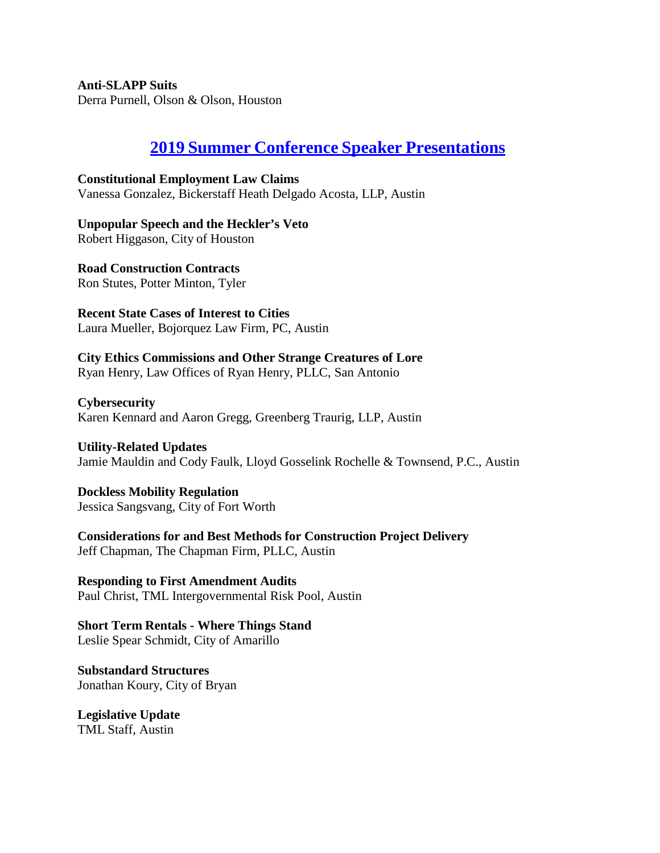**Anti-SLAPP Suits** Derra Purnell, Olson & Olson, Houston

# **2019 Summer Conference Speaker [Presentations](https://texascityattorneys.org/2019-summer-conference-speaker-papers/)**

**Constitutional Employment Law Claims** Vanessa Gonzalez, Bickerstaff Heath Delgado Acosta, LLP, Austin

**Unpopular Speech and the Heckler's Veto** Robert Higgason, City of Houston

**Road Construction Contracts** Ron Stutes, Potter Minton, Tyler

**Recent State Cases of Interest to Cities** Laura Mueller, Bojorquez Law Firm, PC, Austin

# **City Ethics Commissions and Other Strange Creatures of Lore**

Ryan Henry, Law Offices of Ryan Henry, PLLC, San Antonio

**Cybersecurity** Karen Kennard and Aaron Gregg, Greenberg Traurig, LLP, Austin

**Utility-Related Updates** Jamie Mauldin and Cody Faulk, Lloyd Gosselink Rochelle & Townsend, P.C., Austin

**Dockless Mobility Regulation** Jessica Sangsvang, City of Fort Worth

**Considerations for and Best Methods for Construction Project Delivery** Jeff Chapman, The Chapman Firm, PLLC, Austin

**Responding to First Amendment Audits** Paul Christ, TML Intergovernmental Risk Pool, Austin

**Short Term Rentals - Where Things Stand** Leslie Spear Schmidt, City of Amarillo

**Substandard Structures** Jonathan Koury, City of Bryan

**Legislative Update** TML Staff, Austin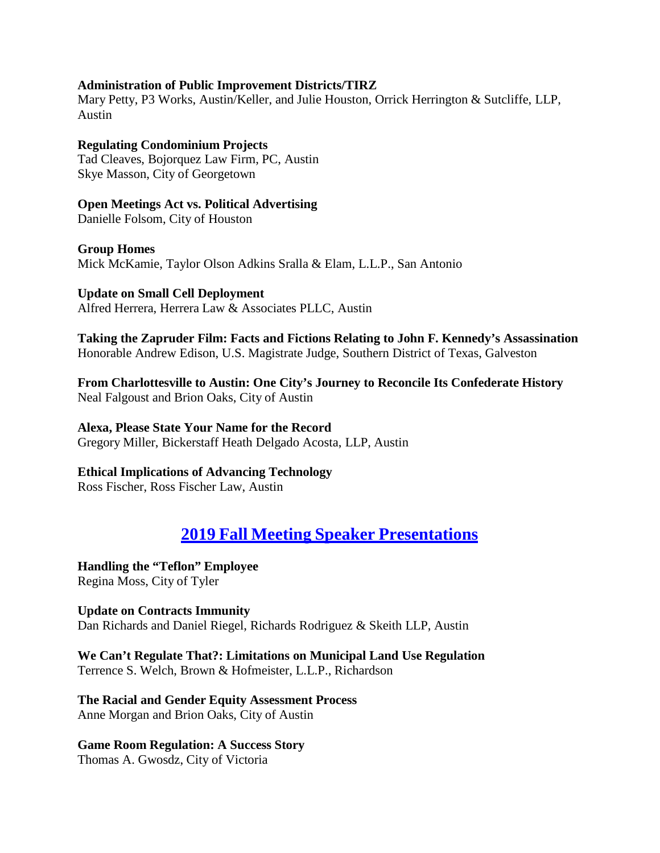#### **Administration of Public Improvement Districts/TIRZ**

Mary Petty, P3 Works, Austin/Keller, and Julie Houston, Orrick Herrington & Sutcliffe, LLP, Austin

#### **Regulating Condominium Projects** Tad Cleaves, Bojorquez Law Firm, PC, Austin Skye Masson, City of Georgetown

**Open Meetings Act vs. Political Advertising** Danielle Folsom, City of Houston

**Group Homes** Mick McKamie, Taylor Olson Adkins Sralla & Elam, L.L.P., San Antonio

**Update on Small Cell Deployment** Alfred Herrera, Herrera Law & Associates PLLC, Austin

**Taking the Zapruder Film: Facts and Fictions Relating to John F. Kennedy's Assassination** Honorable Andrew Edison, U.S. Magistrate Judge, Southern District of Texas, Galveston

**From Charlottesville to Austin: One City's Journey to Reconcile Its Confederate History** Neal Falgoust and Brion Oaks, City of Austin

### **Alexa, Please State Your Name for the Record**

Gregory Miller, Bickerstaff Heath Delgado Acosta, LLP, Austin

# **Ethical Implications of Advancing Technology**

Ross Fischer, Ross Fischer Law, Austin

# **2019 Fall Meeting Speaker [Presentations](https://texascityattorneys.org/2019-tcaa-fall-conference-speaker-materials/)**

**Handling the "Teflon" Employee** Regina Moss, City of Tyler

**Update on Contracts Immunity** Dan Richards and Daniel Riegel, Richards Rodriguez & Skeith LLP, Austin

**We Can't Regulate That?: Limitations on Municipal Land Use Regulation** Terrence S. Welch, Brown & Hofmeister, L.L.P., Richardson

**The Racial and Gender Equity Assessment Process** Anne Morgan and Brion Oaks, City of Austin

# **Game Room Regulation: A Success Story**

Thomas A. Gwosdz, City of Victoria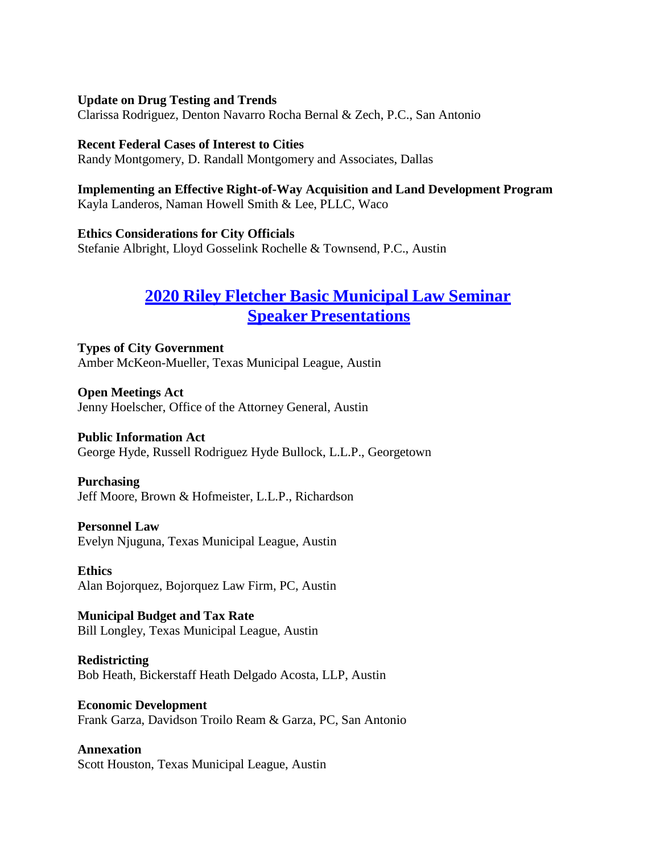#### **Update on Drug Testing and Trends**

Clarissa Rodriguez, Denton Navarro Rocha Bernal & Zech, P.C., San Antonio

#### **Recent Federal Cases of Interest to Cities**

Randy Montgomery, D. Randall Montgomery and Associates, Dallas

#### **Implementing an Effective Right-of-Way Acquisition and Land Development Program** Kayla Landeros, Naman Howell Smith & Lee, PLLC, Waco

**Ethics Considerations for City Officials** Stefanie Albright, Lloyd Gosselink Rochelle & Townsend, P.C., Austin

# **2020 Riley Fletcher Basic [Municipal](https://texascityattorneys.org/2020-riley-fletcher-basic-municipal-law-seminar/) Law Seminar Speaker [Presentations](https://texascityattorneys.org/2020-riley-fletcher-basic-municipal-law-seminar/)**

**Types of City Government** Amber McKeon-Mueller, Texas Municipal League, Austin

**Open Meetings Act** Jenny Hoelscher, Office of the Attorney General, Austin

### **Public Information Act**

George Hyde, Russell Rodriguez Hyde Bullock, L.L.P., Georgetown

#### **Purchasing**

Jeff Moore, Brown & Hofmeister, L.L.P., Richardson

#### **Personnel Law**

Evelyn Njuguna, Texas Municipal League, Austin

**Ethics** Alan Bojorquez, Bojorquez Law Firm, PC, Austin

#### **Municipal Budget and Tax Rate** Bill Longley, Texas Municipal League, Austin

**Redistricting** Bob Heath, Bickerstaff Heath Delgado Acosta, LLP, Austin

#### **Economic Development** Frank Garza, Davidson Troilo Ream & Garza, PC, San Antonio

**Annexation** Scott Houston, Texas Municipal League, Austin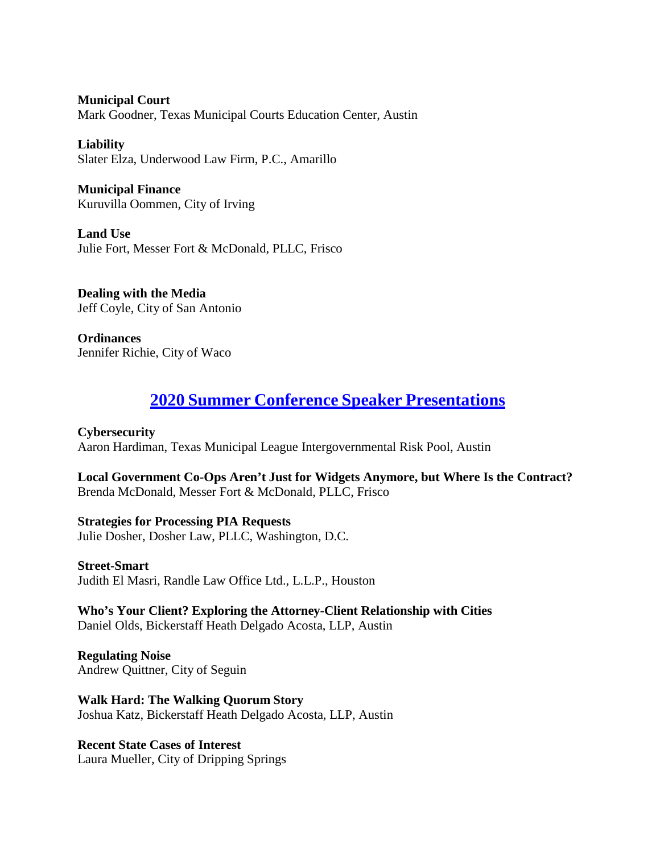**Municipal Court** Mark Goodner, Texas Municipal Courts Education Center, Austin

**Liability** Slater Elza, Underwood Law Firm, P.C., Amarillo

**Municipal Finance** Kuruvilla Oommen, City of Irving

**Land Use** Julie Fort, Messer Fort & McDonald, PLLC, Frisco

**Dealing with the Media** Jeff Coyle, City of San Antonio

**Ordinances** Jennifer Richie, City of Waco

# **2020 Summer Conference Speaker [Presentations](https://texascityattorneys.org/2020-tcaa-summer-conference-speaker-papers/)**

**Cybersecurity** Aaron Hardiman, Texas Municipal League Intergovernmental Risk Pool, Austin

**Local Government Co-Ops Aren't Just for Widgets Anymore, but Where Is the Contract?** Brenda McDonald, Messer Fort & McDonald, PLLC, Frisco

**Strategies for Processing PIA Requests** Julie Dosher, Dosher Law, PLLC, Washington, D.C.

**Street-Smart** Judith El Masri, Randle Law Office Ltd., L.L.P., Houston

**Who's Your Client? Exploring the Attorney-Client Relationship with Cities** Daniel Olds, Bickerstaff Heath Delgado Acosta, LLP, Austin

**Regulating Noise** Andrew Quittner, City of Seguin

**Walk Hard: The Walking Quorum Story** Joshua Katz, Bickerstaff Heath Delgado Acosta, LLP, Austin

**Recent State Cases of Interest** Laura Mueller, City of Dripping Springs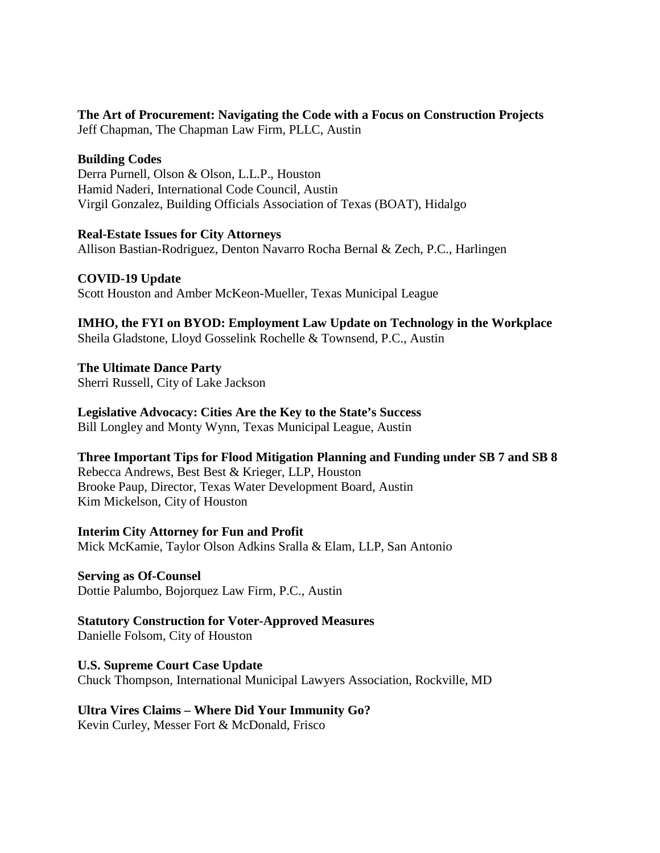### **The Art of Procurement: Navigating the Code with a Focus on Construction Projects**

Jeff Chapman, The Chapman Law Firm, PLLC, Austin

### **Building Codes**

Derra Purnell, Olson & Olson, L.L.P., Houston Hamid Naderi, International Code Council, Austin Virgil Gonzalez, Building Officials Association of Texas (BOAT), Hidalgo

**Real-Estate Issues for City Attorneys** Allison Bastian-Rodriguez, Denton Navarro Rocha Bernal & Zech, P.C., Harlingen

**COVID-19 Update** Scott Houston and Amber McKeon-Mueller, Texas Municipal League

**IMHO, the FYI on BYOD: Employment Law Update on Technology in the Workplace** Sheila Gladstone, Lloyd Gosselink Rochelle & Townsend, P.C., Austin

**The Ultimate Dance Party** Sherri Russell, City of Lake Jackson

**Legislative Advocacy: Cities Are the Key to the State's Success** Bill Longley and Monty Wynn, Texas Municipal League, Austin

# **Three Important Tips for Flood Mitigation Planning and Funding under SB 7 and SB 8**

Rebecca Andrews, Best Best & Krieger, LLP, Houston Brooke Paup, Director, Texas Water Development Board, Austin Kim Mickelson, City of Houston

**Interim City Attorney for Fun and Profit** Mick McKamie, Taylor Olson Adkins Sralla & Elam, LLP, San Antonio

**Serving as Of-Counsel**

Dottie Palumbo, Bojorquez Law Firm, P.C., Austin

**Statutory Construction for Voter-Approved Measures**

Danielle Folsom, City of Houston

**U.S. Supreme Court Case Update** Chuck Thompson, International Municipal Lawyers Association, Rockville, MD

# **Ultra Vires Claims – Where Did Your Immunity Go?**

Kevin Curley, Messer Fort & McDonald, Frisco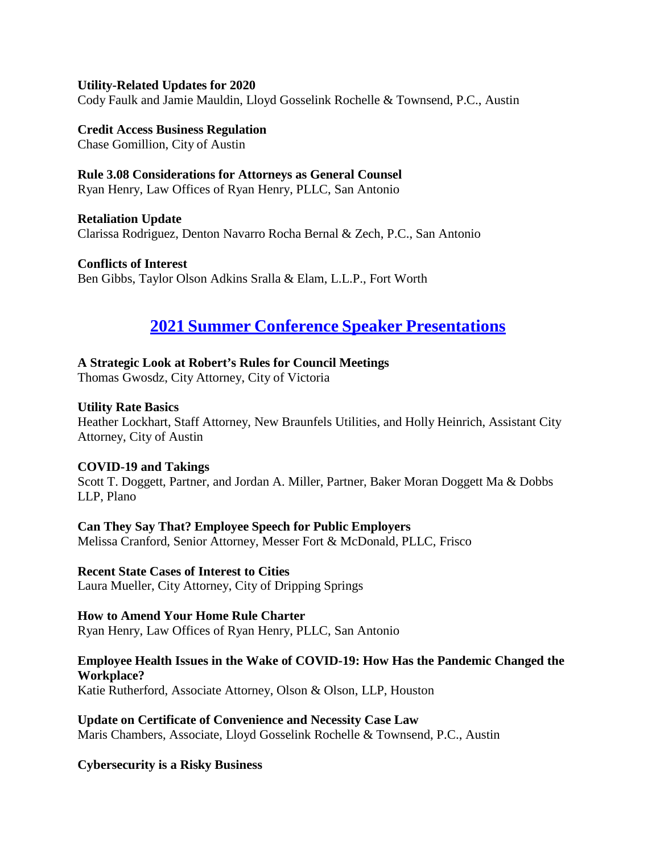#### **Utility-Related Updates for 2020**

Cody Faulk and Jamie Mauldin, Lloyd Gosselink Rochelle & Townsend, P.C., Austin

**Credit Access Business Regulation** Chase Gomillion, City of Austin

### **Rule 3.08 Considerations for Attorneys as General Counsel**

Ryan Henry, Law Offices of Ryan Henry, PLLC, San Antonio

**Retaliation Update** Clarissa Rodriguez, Denton Navarro Rocha Bernal & Zech, P.C., San Antonio

**Conflicts of Interest** Ben Gibbs, Taylor Olson Adkins Sralla & Elam, L.L.P., Fort Worth

# **2021 Summer Conference Speaker [Presentations](https://texascityattorneys.org/2021-summer-conference-materials/)**

#### **A Strategic Look at Robert's Rules for Council Meetings**

Thomas Gwosdz, City Attorney, City of Victoria

#### **Utility Rate Basics**

Heather Lockhart, Staff Attorney, New Braunfels Utilities, and Holly Heinrich, Assistant City Attorney, City of Austin

#### **COVID-19 and Takings**

Scott T. Doggett, Partner, and Jordan A. Miller, Partner, Baker Moran Doggett Ma & Dobbs LLP, Plano

#### **Can They Say That? Employee Speech for Public Employers**

Melissa Cranford, Senior Attorney, Messer Fort & McDonald, PLLC, Frisco

#### **Recent State Cases of Interest to Cities**

Laura Mueller, City Attorney, City of Dripping Springs

#### **How to Amend Your Home Rule Charter**

Ryan Henry, Law Offices of Ryan Henry, PLLC, San Antonio

#### **Employee Health Issues in the Wake of COVID-19: How Has the Pandemic Changed the Workplace?**

Katie Rutherford, Associate Attorney, Olson & Olson, LLP, Houston

**Update on Certificate of Convenience and Necessity Case Law** Maris Chambers, Associate, Lloyd Gosselink Rochelle & Townsend, P.C., Austin

#### **Cybersecurity is a Risky Business**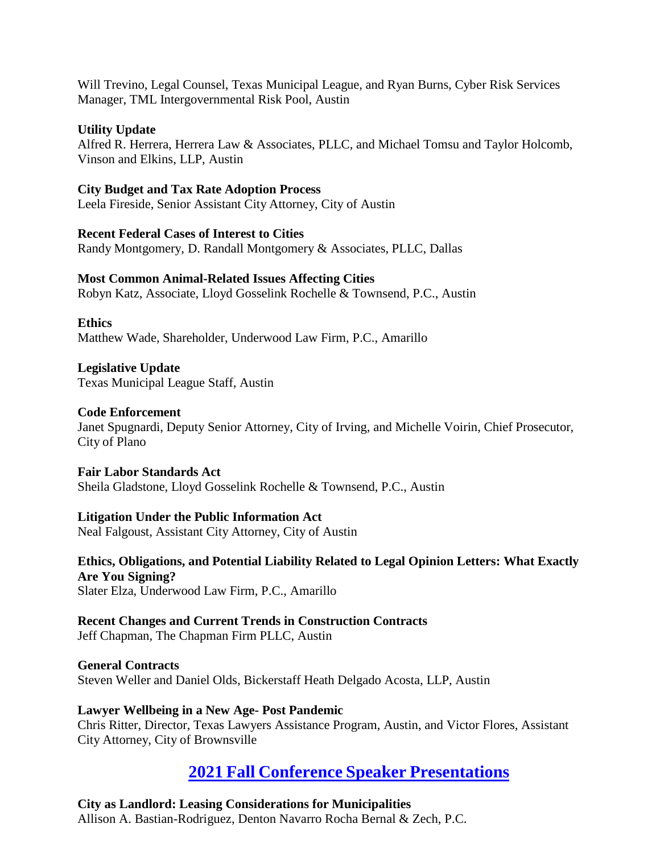Will Trevino, Legal Counsel, Texas Municipal League, and Ryan Burns, Cyber Risk Services Manager, TML Intergovernmental Risk Pool, Austin

#### **Utility Update**

Alfred R. Herrera, Herrera Law & Associates, PLLC, and Michael Tomsu and Taylor Holcomb, Vinson and Elkins, LLP, Austin

### **City Budget and Tax Rate Adoption Process**

Leela Fireside, Senior Assistant City Attorney, City of Austin

#### **Recent Federal Cases of Interest to Cities**

Randy Montgomery, D. Randall Montgomery & Associates, PLLC, Dallas

#### **Most Common Animal-Related Issues Affecting Cities**

Robyn Katz, Associate, Lloyd Gosselink Rochelle & Townsend, P.C., Austin

**Ethics** Matthew Wade, Shareholder, Underwood Law Firm, P.C., Amarillo

#### **Legislative Update** Texas Municipal League Staff, Austin

#### **Code Enforcement**

Janet Spugnardi, Deputy Senior Attorney, City of Irving, and Michelle Voirin, Chief Prosecutor, City of Plano

#### **Fair Labor Standards Act**

Sheila Gladstone, Lloyd Gosselink Rochelle & Townsend, P.C., Austin

#### **Litigation Under the Public Information Act**

Neal Falgoust, Assistant City Attorney, City of Austin

# **Ethics, Obligations, and Potential Liability Related to Legal Opinion Letters: What Exactly Are You Signing?**

Slater Elza, Underwood Law Firm, P.C., Amarillo

#### **Recent Changes and Current Trends in Construction Contracts** Jeff Chapman, The Chapman Firm PLLC, Austin

**General Contracts** Steven Weller and Daniel Olds, Bickerstaff Heath Delgado Acosta, LLP, Austin

#### **Lawyer Wellbeing in a New Age- Post Pandemic**

Chris Ritter, Director, Texas Lawyers Assistance Program, Austin, and Victor Flores, Assistant City Attorney, City of Brownsville

# **2021 Fall Conference Speaker [Presentations](https://texascityattorneys.org/2021-fall-conference-materials/)**

# **City as Landlord: Leasing Considerations for Municipalities**

Allison A. Bastian-Rodriguez, Denton Navarro Rocha Bernal & Zech, P.C.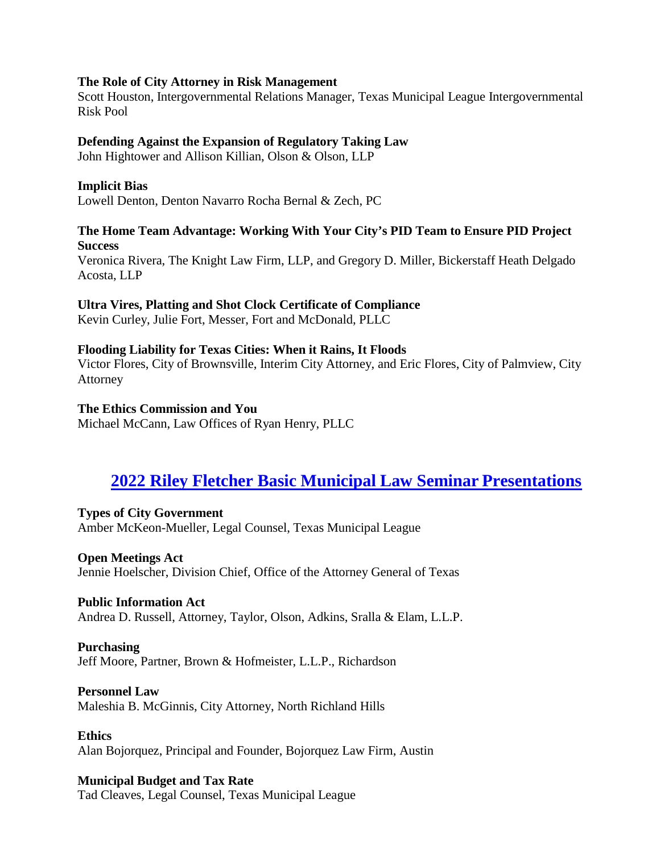#### **The Role of City Attorney in Risk Management**

Scott Houston, Intergovernmental Relations Manager, Texas Municipal League Intergovernmental Risk Pool

#### **Defending Against the Expansion of Regulatory Taking Law**

John Hightower and Allison Killian, Olson & Olson, LLP

#### **Implicit Bias**

Lowell Denton, Denton Navarro Rocha Bernal & Zech, PC

### **The Home Team Advantage: Working With Your City's PID Team to Ensure PID Project Success**

Veronica Rivera, The Knight Law Firm, LLP, and Gregory D. Miller, Bickerstaff Heath Delgado Acosta, LLP

#### **Ultra Vires, Platting and Shot Clock Certificate of Compliance**

Kevin Curley, Julie Fort, Messer, Fort and McDonald, PLLC

#### **Flooding Liability for Texas Cities: When it Rains, It Floods**

Victor Flores, City of Brownsville, Interim City Attorney, and Eric Flores, City of Palmview, City Attorney

#### **The Ethics Commission and You**

Michael McCann, Law Offices of Ryan Henry, PLLC

# **[2022 Riley Fletcher Basic Municipal Law Seminar](https://texascityattorneys.org/2022-riley-fletcher-basic-municipal-law-seminar/) Presentations**

#### **Types of City Government**

Amber McKeon-Mueller, Legal Counsel, Texas Municipal League

#### **Open Meetings Act**

Jennie Hoelscher, Division Chief, Office of the Attorney General of Texas

#### **Public Information Act**

Andrea D. Russell, Attorney, Taylor, Olson, Adkins, Sralla & Elam, L.L.P.

# **Purchasing**

Jeff Moore, Partner, Brown & Hofmeister, L.L.P., Richardson

#### **Personnel Law**

Maleshia B. McGinnis, City Attorney, North Richland Hills

**Ethics** Alan Bojorquez, Principal and Founder, Bojorquez Law Firm, Austin

#### **Municipal Budget and Tax Rate**

Tad Cleaves, Legal Counsel, Texas Municipal League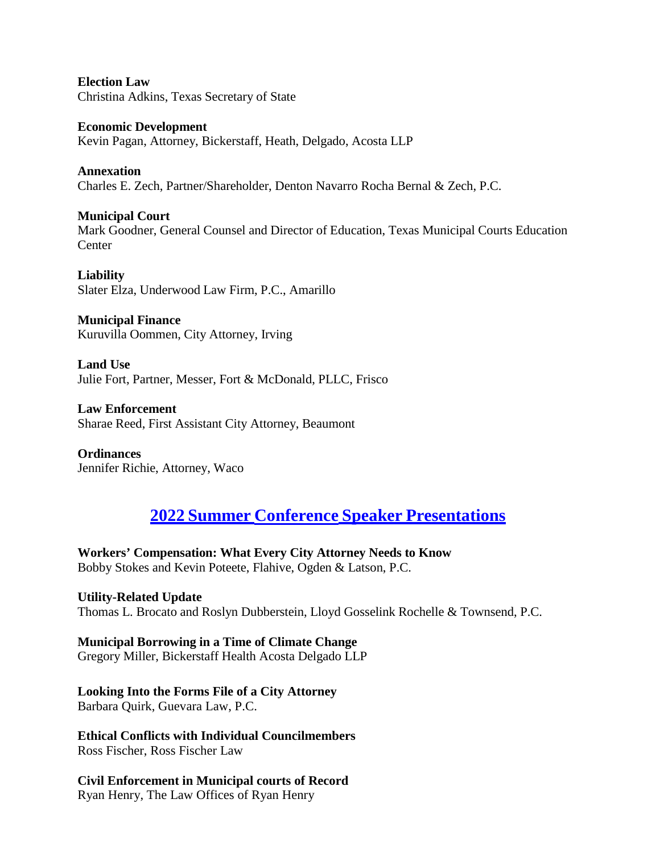**Election Law** Christina Adkins, Texas Secretary of State

**Economic Development** Kevin Pagan, Attorney, Bickerstaff, Heath, Delgado, Acosta LLP

**Annexation** Charles E. Zech, Partner/Shareholder, Denton Navarro Rocha Bernal & Zech, P.C.

**Municipal Court** Mark Goodner, General Counsel and Director of Education, Texas Municipal Courts Education **Center** 

**Liability** Slater Elza, Underwood Law Firm, P.C., Amarillo

**Municipal Finance** Kuruvilla Oommen, City Attorney, Irving

**Land Use** Julie Fort, Partner, Messer, Fort & McDonald, PLLC, Frisco

**Law Enforcement** Sharae Reed, First Assistant City Attorney, Beaumont

**Ordinances** Jennifer Richie, Attorney, Waco

# **2022 Summer [Conference](https://texascityattorneys.org/2022-summer-conference-materials/) Speaker Presentations**

**Workers' Compensation: What Every City Attorney Needs to Know** Bobby Stokes and Kevin Poteete, Flahive, Ogden & Latson, P.C.

**Utility-Related Update** Thomas L. Brocato and Roslyn Dubberstein, Lloyd Gosselink Rochelle & Townsend, P.C.

**Municipal Borrowing in a Time of Climate Change** Gregory Miller, Bickerstaff Health Acosta Delgado LLP

**Looking Into the Forms File of a City Attorney** Barbara Quirk, Guevara Law, P.C.

**Ethical Conflicts with Individual Councilmembers** Ross Fischer, Ross Fischer Law

**Civil Enforcement in Municipal courts of Record** Ryan Henry, The Law Offices of Ryan Henry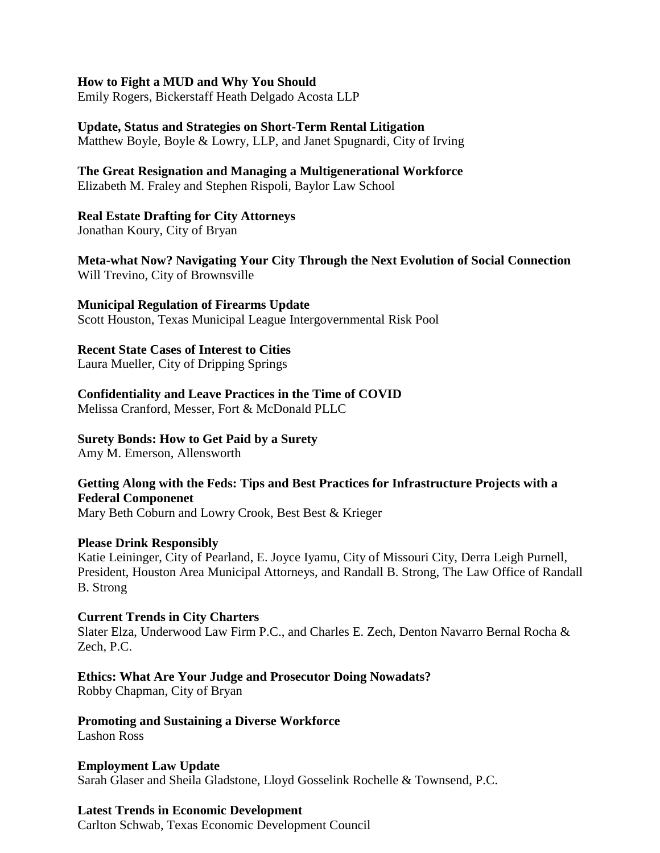#### **How to Fight a MUD and Why You Should**

Emily Rogers, Bickerstaff Heath Delgado Acosta LLP

# **Update, Status and Strategies on Short-Term Rental Litigation**

Matthew Boyle, Boyle & Lowry, LLP, and Janet Spugnardi, City of Irving

#### **The Great Resignation and Managing a Multigenerational Workforce** Elizabeth M. Fraley and Stephen Rispoli, Baylor Law School

#### **Real Estate Drafting for City Attorneys**

Jonathan Koury, City of Bryan

**Meta-what Now? Navigating Your City Through the Next Evolution of Social Connection** Will Trevino, City of Brownsville

#### **Municipal Regulation of Firearms Update**

Scott Houston, Texas Municipal League Intergovernmental Risk Pool

### **Recent State Cases of Interest to Cities**

Laura Mueller, City of Dripping Springs

### **Confidentiality and Leave Practices in the Time of COVID**

Melissa Cranford, Messer, Fort & McDonald PLLC

#### **Surety Bonds: How to Get Paid by a Surety**

Amy M. Emerson, Allensworth

### **Getting Along with the Feds: Tips and Best Practices for Infrastructure Projects with a Federal Componenet**

Mary Beth Coburn and Lowry Crook, Best Best & Krieger

#### **Please Drink Responsibly**

Katie Leininger, City of Pearland, E. Joyce Iyamu, City of Missouri City, Derra Leigh Purnell, President, Houston Area Municipal Attorneys, and Randall B. Strong, The Law Office of Randall B. Strong

#### **Current Trends in City Charters**

Slater Elza, Underwood Law Firm P.C., and Charles E. Zech, Denton Navarro Bernal Rocha & Zech, P.C.

# **Ethics: What Are Your Judge and Prosecutor Doing Nowadats?**

Robby Chapman, City of Bryan

# **Promoting and Sustaining a Diverse Workforce**

Lashon Ross

#### **Employment Law Update**

Sarah Glaser and Sheila Gladstone, Lloyd Gosselink Rochelle & Townsend, P.C.

# **Latest Trends in Economic Development**

Carlton Schwab, Texas Economic Development Council